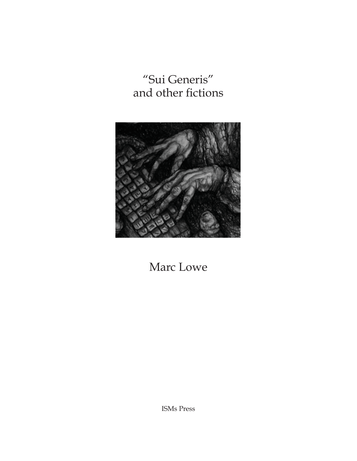"Sui Generis" and other fictions



Marc Lowe

ISMs Press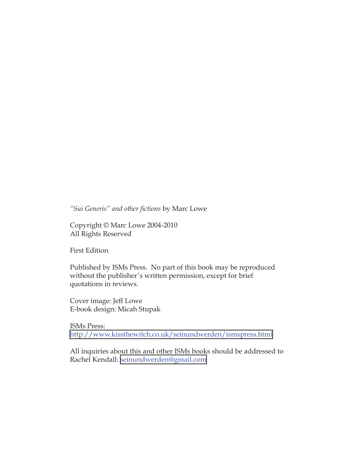*"Sui Generis" and other fictions* by Marc Lowe

Copyright © Marc Lowe 2004-2010 All Rights Reserved

First Edition

Published by ISMs Press. No part of this book may be reproduced without the publisher's written permission, except for brief quotations in reviews.

Cover image: Jeff Lowe E-book design: Micah Stupak

ISMs Press: <http://www.kissthewitch.co.uk/seinundwerden/ismspress.html>

All inquiries about this and other ISMs books should be addressed to Rachel Kendall: [seinundwerden@gmail.com](mailto:seinundwerden@gmail.com)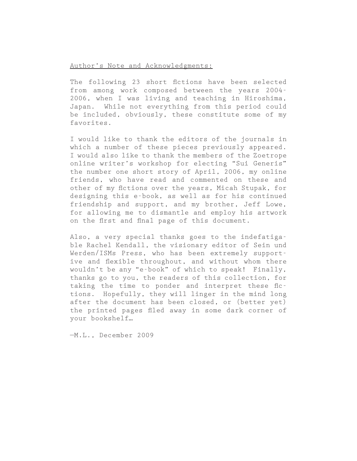#### Author's Note and Acknowledgments:

The following 23 short fictions have been selected from among work composed between the years 2004- 2006, when I was living and teaching in Hiroshima, Japan. While not everything from this period could be included, obviously, these constitute some of my favorites.

I would like to thank the editors of the journals in which a number of these pieces previously appeared. I would also like to thank the members of the Zoetrope online writer's workshop for electing "Sui Generis" the number one short story of April, 2006, my online friends, who have read and commented on these and other of my fictions over the years, Micah Stupak, for designing this e-book, as well as for his continued friendship and support, and my brother, Jeff Lowe, for allowing me to dismantle and employ his artwork on the first and final page of this document.

Also, a very special thanks goes to the indefatigable Rachel Kendall, the visionary editor of Sein und Werden/ISMs Press, who has been extremely supportive and flexible throughout, and without whom there wouldn't be any "e-book" of which to speak! Finally, thanks go to you, the readers of this collection, for taking the time to ponder and interpret these fictions. Hopefully, they will linger in the mind long after the document has been closed, or (better yet) the printed pages filed away in some dark corner of your bookshelf…

—M.L., December 2009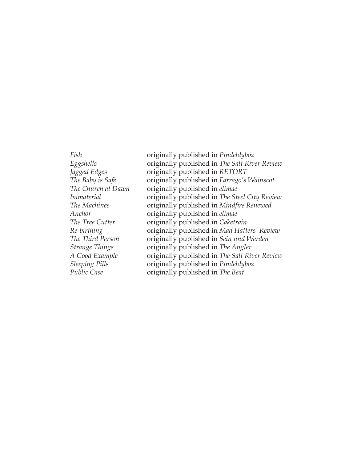*Fish* originally published in *Pindeldyboz Eggshells* originally published in *The Salt River Review Jagged Edges* originally published in *RETORT The Baby is Safe* originally published in *Farrago's Wainscot The Church at Dawn* originally published in *elimae Immaterial* originally published in *The Steel City Review The Machines* originally published in *Mindfire Renewed Anchor* originally published in *elimae The Tree Cutter* originally published in *Caketrain Re-birthing* originally published in *Mad Hatters' Review The Third Person* originally published in *Sein und Werden Strange Things* originally published in *The Angler A Good Example* originally published in *The Salt River Review Sleeping Pills* originally published in *Pindeldyboz Public Case* originally published in *The Beat*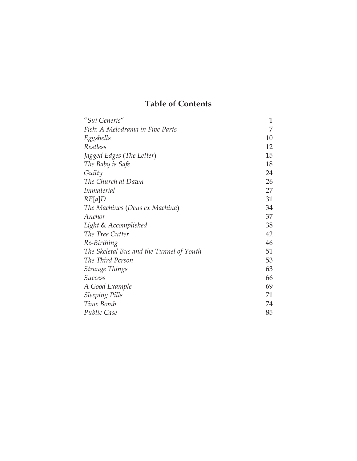# **Table of Contents**

| "Sui Generis"                            | 1  |
|------------------------------------------|----|
| Fish: A Melodrama in Five Parts          | 7  |
| Eggshells                                | 10 |
| Restless                                 | 12 |
| Jagged Edges (The Letter)                | 15 |
| The Baby is Safe                         | 18 |
| Guilty                                   | 24 |
| The Church at Dawn                       | 26 |
| <i>Immaterial</i>                        | 27 |
| RE[a]D                                   | 31 |
| The Machines (Deus ex Machina)           | 34 |
| Anchor                                   | 37 |
| Light & Accomplished                     | 38 |
| The Tree Cutter                          | 42 |
| Re-Birthing                              | 46 |
| The Skeletal Bus and the Tunnel of Youth | 51 |
| The Third Person                         | 53 |
| <b>Strange Things</b>                    | 63 |
| <i>Success</i>                           | 66 |
| A Good Example                           | 69 |
| <b>Sleeping Pills</b>                    | 71 |
| Time Bomb                                | 74 |
| <b>Public Case</b>                       | 85 |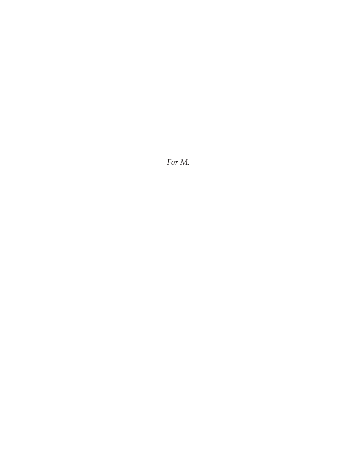*For M.*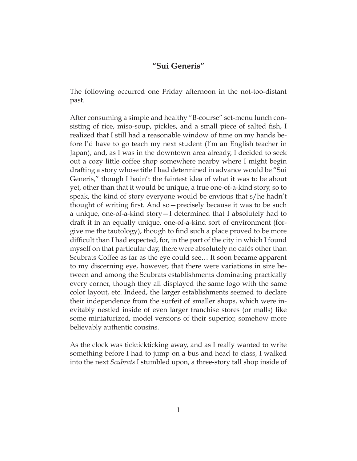## **"Sui Generis"**

<span id="page-8-0"></span>The following occurred one Friday afternoon in the not-too-distant past.

After consuming a simple and healthy "B-course" set-menu lunch consisting of rice, miso-soup, pickles, and a small piece of salted fish, I realized that I still had a reasonable window of time on my hands before I'd have to go teach my next student (I'm an English teacher in Japan), and, as I was in the downtown area already, I decided to seek out a cozy little coffee shop somewhere nearby where I might begin drafting a story whose title I had determined in advance would be "Sui Generis," though I hadn't the faintest idea of what it was to be about yet, other than that it would be unique, a true one-of-a-kind story, so to speak, the kind of story everyone would be envious that s/he hadn't thought of writing first. And so—precisely because it was to be such a unique, one-of-a-kind story—I determined that I absolutely had to draft it in an equally unique, one-of-a-kind sort of environment (forgive me the tautology), though to find such a place proved to be more difficult than I had expected, for, in the part of the city in which I found myself on that particular day, there were absolutely no cafés other than Scubrats Coffee as far as the eye could see… It soon became apparent to my discerning eye, however, that there were variations in size between and among the Scubrats establishments dominating practically every corner, though they all displayed the same logo with the same color layout, etc. Indeed, the larger establishments seemed to declare their independence from the surfeit of smaller shops, which were inevitably nestled inside of even larger franchise stores (or malls) like some miniaturized, model versions of their superior, somehow more believably authentic cousins.

As the clock was ticktickticking away, and as I really wanted to write something before I had to jump on a bus and head to class, I walked into the next *Scubrats* I stumbled upon, a three-story tall shop inside of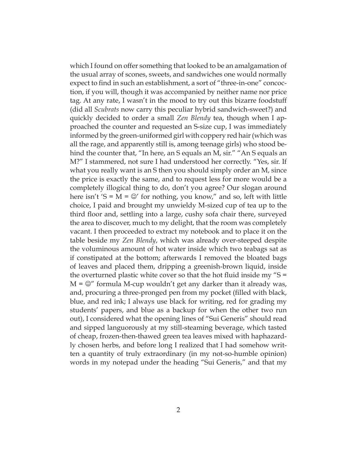which I found on offer something that looked to be an amalgamation of the usual array of scones, sweets, and sandwiches one would normally expect to find in such an establishment, a sort of "three-in-one" concoction, if you will, though it was accompanied by neither name nor price tag. At any rate, I wasn't in the mood to try out this bizarre foodstuff (did all *Scubrats* now carry this peculiar hybrid sandwich-sweet?) and quickly decided to order a small *Zen Blendy* tea, though when I approached the counter and requested an S-size cup, I was immediately informed by the green-uniformed girl with coppery red hair (which was all the rage, and apparently still is, among teenage girls) who stood behind the counter that, "In here, an S equals an M, sir." "An S equals an M?" I stammered, not sure I had understood her correctly. "Yes, sir. If what you really want is an S then you should simply order an M, since the price is exactly the same, and to request less for more would be a completely illogical thing to do, don't you agree? Our slogan around here isn't 'S =  $M$  =  $\mathbb{C}'$  for nothing, you know," and so, left with little choice, I paid and brought my unwieldy M-sized cup of tea up to the third floor and, settling into a large, cushy sofa chair there, surveyed the area to discover, much to my delight, that the room was completely vacant. I then proceeded to extract my notebook and to place it on the table beside my *Zen Blendy*, which was already over-steeped despite the voluminous amount of hot water inside which two teabags sat as if constipated at the bottom; afterwards I removed the bloated bags of leaves and placed them, dripping a greenish-brown liquid, inside the overturned plastic white cover so that the hot fluid inside my " $S =$  $M = \bigcirc$ " formula M-cup wouldn't get any darker than it already was, and, procuring a three-pronged pen from my pocket (filled with black, blue, and red ink; I always use black for writing, red for grading my students' papers, and blue as a backup for when the other two run out), I considered what the opening lines of "Sui Generis" should read and sipped languorously at my still-steaming beverage, which tasted of cheap, frozen-then-thawed green tea leaves mixed with haphazardly chosen herbs, and before long I realized that I had somehow written a quantity of truly extraordinary (in my not-so-humble opinion) words in my notepad under the heading "Sui Generis," and that my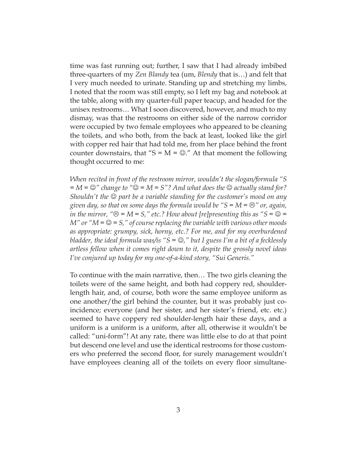time was fast running out; further, I saw that I had already imbibed three-quarters of my *Zen Blandy* tea (um, *Blendy* that is…) and felt that I very much needed to urinate. Standing up and stretching my limbs, I noted that the room was still empty, so I left my bag and notebook at the table, along with my quarter-full paper teacup, and headed for the unisex restrooms… What I soon discovered, however, and much to my dismay, was that the restrooms on either side of the narrow corridor were occupied by two female employees who appeared to be cleaning the toilets, and who both, from the back at least, looked like the girl with copper red hair that had told me, from her place behind the front counter downstairs, that "S =  $M = \mathcal{D}$ ." At that moment the following thought occurred to me:

*When recited in front of the restroom mirror, wouldn't the slogan/formula "S*   $=M = \bigcirc$  *change to "* $\bigcirc = M = S$ *"? And what does the*  $\bigcirc$  *actually stand for? Shouldn't the*  $\odot$  part be a variable standing for the customer's mood on any *given day, so that on some days the formula would be "S = M =*  $\odot$ *" or, again, in the mirror,* " $\Theta = M = S$ ," etc.? How about [re]presenting this as " $S = \Theta =$ *M"* or " $M = \mathcal{Q} = S$ ," of course replacing the variable with various other moods *as appropriate: grumpy, sick, horny, etc.? For me, and for my overburdened bladder, the ideal formula was/is* " $S = \mathcal{O}$ ," *but I guess I'm a bit of a fecklessly artless fellow when it comes right down to it, despite the grossly novel ideas I've conjured up today for my one-of-a-kind story, "Sui Generis."*

To continue with the main narrative, then… The two girls cleaning the toilets were of the same height, and both had coppery red, shoulderlength hair, and, of course, both wore the same employee uniform as one another/the girl behind the counter, but it was probably just coincidence; everyone (and her sister, and her sister's friend, etc. etc.) seemed to have coppery red shoulder-length hair these days, and a uniform is a uniform is a uniform, after all, otherwise it wouldn't be called: "uni-form"! At any rate, there was little else to do at that point but descend one level and use the identical restrooms for those customers who preferred the second floor, for surely management wouldn't have employees cleaning all of the toilets on every floor simultane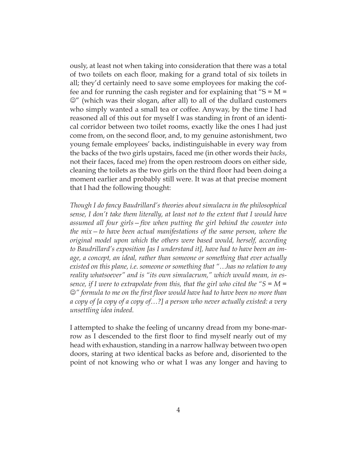ously, at least not when taking into consideration that there was a total of two toilets on each floor, making for a grand total of six toilets in all; they'd certainly need to save some employees for making the coffee and for running the cash register and for explaining that  $S = M =$  $\mathbb{C}$ " (which was their slogan, after all) to all of the dullard customers who simply wanted a small tea or coffee. Anyway, by the time I had reasoned all of this out for myself I was standing in front of an identical corridor between two toilet rooms, exactly like the ones I had just come from, on the second floor, and, to my genuine astonishment, two young female employees' backs, indistinguishable in every way from the backs of the two girls upstairs, faced me (in other words their *backs*, not their faces, faced me) from the open restroom doors on either side, cleaning the toilets as the two girls on the third floor had been doing a moment earlier and probably still were. It was at that precise moment that I had the following thought:

*Though I do fancy Baudrillard's theories about simulacra in the philosophical sense, I don't take them literally, at least not to the extent that I would have assumed all four girls—five when putting the girl behind the counter into the mix—to have been actual manifestations of the same person, where the original model upon which the others were based would, herself, according to Baudrillard's exposition [as I understand it], have had to have been an image, a concept, an ideal, rather than someone or something that ever actually existed on this plane, i.e. someone or something that "…has no relation to any reality whatsoever" and is "its own simulacrum," which would mean, in essence, if I were to extrapolate from this, that the girl who cited the "S = M =* J*" formula to me on the first floor would have had to have been no more than a copy of [a copy of a copy of…?] a person who never actually existed: a very unsettling idea indeed.* 

I attempted to shake the feeling of uncanny dread from my bone-marrow as I descended to the first floor to find myself nearly out of my head with exhaustion, standing in a narrow hallway between two open doors, staring at two identical backs as before and, disoriented to the point of not knowing who or what I was any longer and having to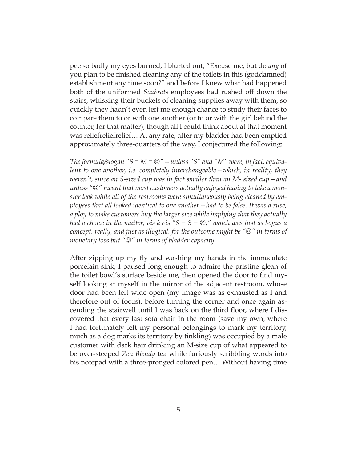pee so badly my eyes burned, I blurted out, "Excuse me, but do *any* of you plan to be finished cleaning any of the toilets in this (goddamned) establishment any time soon?" and before I knew what had happened both of the uniformed *Scubrats* employees had rushed off down the stairs, whisking their buckets of cleaning supplies away with them, so quickly they hadn't even left me enough chance to study their faces to compare them to or with one another (or to or with the girl behind the counter, for that matter), though all I could think about at that moment was reliefreliefrelief… At any rate, after my bladder had been emptied approximately three-quarters of the way, I conjectured the following:

*The formula/slogan*  $S = M = \mathbb{Q}'' - \mathbb{u}$  reads  $S'' = M'$  and  $M''$  were, in fact, equiva*lent to one another, i.e. completely interchangeable—which, in reality, they weren't, since an S-sized cup was in fact smaller than an M- sized cup—and*  unless " $\odot$ " meant that most customers actually enjoyed having to take a mon*ster leak while all of the restrooms were simultaneously being cleaned by employees that all looked identical to one another—had to be false. It was a ruse, a ploy to make customers buy the larger size while implying that they actually had a choice in the matter, vis à vis "* $S = S = \mathfrak{S}$ *," which was just as bogus a concept, really, and just as illogical, for the outcome might be "* $\odot$ *" in terms of monetary loss but "* $\mathcal{Q}$ *" in terms of bladder capacity.* 

After zipping up my fly and washing my hands in the immaculate porcelain sink, I paused long enough to admire the pristine glean of the toilet bowl's surface beside me, then opened the door to find myself looking at myself in the mirror of the adjacent restroom, whose door had been left wide open (my image was as exhausted as I and therefore out of focus), before turning the corner and once again ascending the stairwell until I was back on the third floor, where I discovered that every last sofa chair in the room (save my own, where I had fortunately left my personal belongings to mark my territory, much as a dog marks its territory by tinkling) was occupied by a male customer with dark hair drinking an M-size cup of what appeared to be over-steeped *Zen Blendy* tea while furiously scribbling words into his notepad with a three-pronged colored pen… Without having time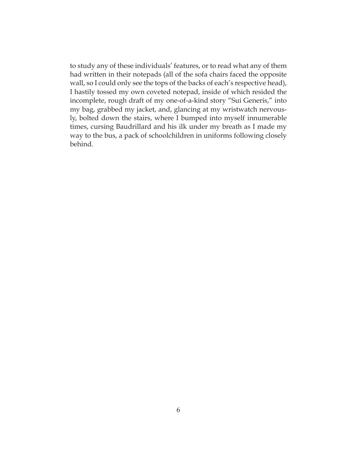to study any of these individuals' features, or to read what any of them had written in their notepads (all of the sofa chairs faced the opposite wall, so I could only see the tops of the backs of each's respective head), I hastily tossed my own coveted notepad, inside of which resided the incomplete, rough draft of my one-of-a-kind story "Sui Generis," into my bag, grabbed my jacket, and, glancing at my wristwatch nervously, bolted down the stairs, where I bumped into myself innumerable times, cursing Baudrillard and his ilk under my breath as I made my way to the bus, a pack of schoolchildren in uniforms following closely behind.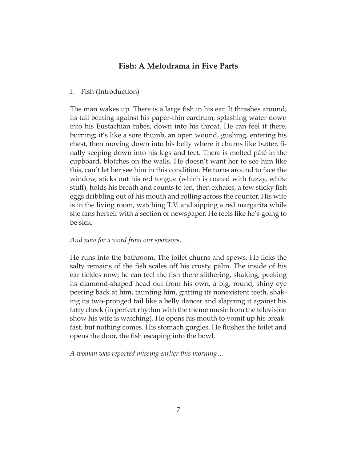## **Fish: A Melodrama in Five Parts**

## <span id="page-14-0"></span>I. Fish (Introduction)

The man wakes up. There is a large fish in his ear. It thrashes around, its tail beating against his paper-thin eardrum, splashing water down into his Eustachian tubes, down into his throat. He can feel it there, burning; it's like a sore thumb, an open wound, gushing, entering his chest, then moving down into his belly where it churns like butter, finally seeping down into his legs and feet. There is melted pâté in the cupboard, blotches on the walls. He doesn't want her to see him like this, can't let her see him in this condition. He turns around to face the window, sticks out his red tongue (which is coated with fuzzy, white stuff), holds his breath and counts to ten, then exhales, a few sticky fish eggs dribbling out of his mouth and rolling across the counter. His wife is in the living room, watching T.V. and sipping a red margarita while she fans herself with a section of newspaper. He feels like he's going to be sick.

## *And now for a word from our sponsors…*

He runs into the bathroom. The toilet churns and spews. He licks the salty remains of the fish scales off his crusty palm. The inside of his ear tickles now; he can feel the fish there slithering, shaking, peeking its diamond-shaped head out from his own, a big, round, shiny eye peering back at him, taunting him, gritting its nonexistent teeth, shaking its two-pronged tail like a belly dancer and slapping it against his fatty cheek (in perfect rhythm with the theme music from the television show his wife is watching). He opens his mouth to vomit up his breakfast, but nothing comes. His stomach gurgles. He flushes the toilet and opens the door, the fish escaping into the bowl.

*A woman was reported missing earlier this morning…*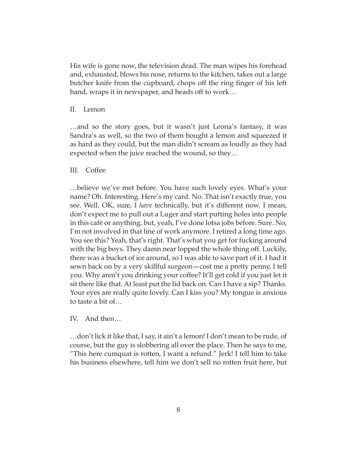His wife is gone now, the television dead. The man wipes his forehead and, exhausted, blows his nose, returns to the kitchen, takes out a large butcher knife from the cupboard, chops off the ring finger of his left hand, wraps it in newspaper, and heads off to work…

## II. Lemon

…and so the story goes, but it wasn't just Leona's fantasy, it was Sandra's as well, so the two of them bought a lemon and squeezed it as hard as they could, but the man didn't scream as loudly as they had expected when the juice reached the wound, so they…

## III. Coffee

…believe we've met before. You have such lovely eyes. What's your name? Oh. Interesting. Here's my card. No. That isn't exactly true, you see. Well, OK, sure, I *have* technically, but it's different now. I mean, don't expect me to pull out a Luger and start putting holes into people in this café or anything, but, yeah, I've done lotsa jobs before. Sure. No, I'm not involved in that line of work anymore. I retired a long time ago. You see this? Yeah, that's right. That's what you get for fucking around with the big boys. They damn near lopped the whole thing off. Luckily, there was a bucket of ice around, so I was able to save part of it. I had it sewn back on by a very skillful surgeon—cost me a pretty penny, I tell you. Why aren't you drinking your coffee? It'll get cold if you just let it sit there like that. At least put the lid back on. Can I have a sip? Thanks. Your eyes are really quite lovely. Can I kiss you? My tongue is anxious to taste a bit of…

## IV. And then…

…don't lick it like that, I say, it ain't a lemon! I don't mean to be rude, of course, but the guy is slobbering all over the place. Then he says to me, "This here cumquat is rotten, I want a refund." Jerk! I tell him to take his business elsewhere, tell him we don't sell no rotten fruit here, but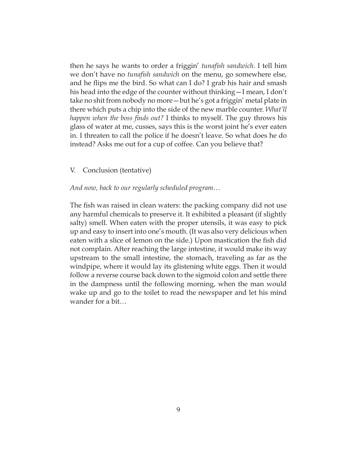then he says he wants to order a friggin' *tunafish sandwich*. I tell him we don't have no *tunafish sandwich* on the menu, go somewhere else, and he flips me the bird. So what can I do? I grab his hair and smash his head into the edge of the counter without thinking—I mean, I don't take no shit from nobody no more—but he's got a friggin' metal plate in there which puts a chip into the side of the new marble counter. *What'll happen when the boss finds out?* I thinks to myself. The guy throws his glass of water at me, cusses, says this is the worst joint he's ever eaten in. I threaten to call the police if he doesn't leave. So what does he do instead? Asks me out for a cup of coffee. Can you believe that?

#### V. Conclusion (tentative)

#### *And now, back to our regularly scheduled program…*

The fish was raised in clean waters: the packing company did not use any harmful chemicals to preserve it. It exhibited a pleasant (if slightly salty) smell. When eaten with the proper utensils, it was easy to pick up and easy to insert into one's mouth. (It was also very delicious when eaten with a slice of lemon on the side.) Upon mastication the fish did not complain. After reaching the large intestine, it would make its way upstream to the small intestine, the stomach, traveling as far as the windpipe, where it would lay its glistening white eggs. Then it would follow a reverse course back down to the sigmoid colon and settle there in the dampness until the following morning, when the man would wake up and go to the toilet to read the newspaper and let his mind wander for a bit…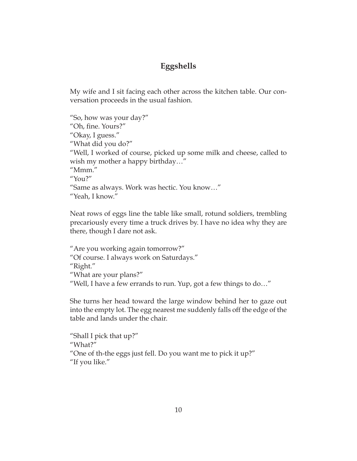# **Eggshells**

<span id="page-17-0"></span>My wife and I sit facing each other across the kitchen table. Our conversation proceeds in the usual fashion.

```
"So, how was your day?"
"Oh, fine. Yours?"
"Okay, I guess."
"What did you do?"
"Well, I worked of course, picked up some milk and cheese, called to 
wish my mother a happy birthday…"
"Mmm."
"You?"
"Same as always. Work was hectic. You know…"
"Yeah, I know."
```
Neat rows of eggs line the table like small, rotund soldiers, trembling precariously every time a truck drives by. I have no idea why they are there, though I dare not ask.

```
"Are you working again tomorrow?"
"Of course. I always work on Saturdays."
"Right."
"What are your plans?"
"Well, I have a few errands to run. Yup, got a few things to do…"
```
She turns her head toward the large window behind her to gaze out into the empty lot. The egg nearest me suddenly falls off the edge of the table and lands under the chair.

```
"Shall I pick that up?"
"What?"
"One of th-the eggs just fell. Do you want me to pick it up?"
"If you like."
```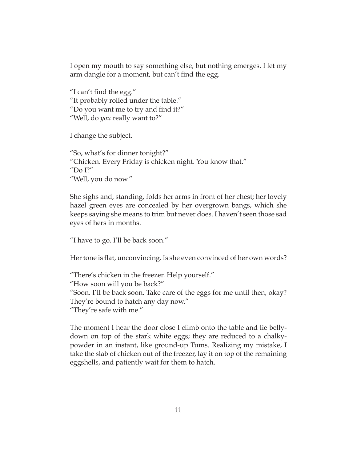I open my mouth to say something else, but nothing emerges. I let my arm dangle for a moment, but can't find the egg.

"I can't find the egg." "It probably rolled under the table." "Do you want me to try and find it?" "Well, do *you* really want to?"

I change the subject.

"So, what's for dinner tonight?" "Chicken. Every Friday is chicken night. You know that." "Do I?" "Well, you do now."

She sighs and, standing, folds her arms in front of her chest; her lovely hazel green eyes are concealed by her overgrown bangs, which she keeps saying she means to trim but never does. I haven't seen those sad eyes of hers in months.

"I have to go. I'll be back soon."

Her tone is flat, unconvincing. Is she even convinced of her own words?

"There's chicken in the freezer. Help yourself." "How soon will you be back?" "Soon. I'll be back soon. Take care of the eggs for me until then, okay? They're bound to hatch any day now." "They're safe with me."

The moment I hear the door close I climb onto the table and lie bellydown on top of the stark white eggs; they are reduced to a chalkypowder in an instant, like ground-up Tums. Realizing my mistake, I take the slab of chicken out of the freezer, lay it on top of the remaining eggshells, and patiently wait for them to hatch.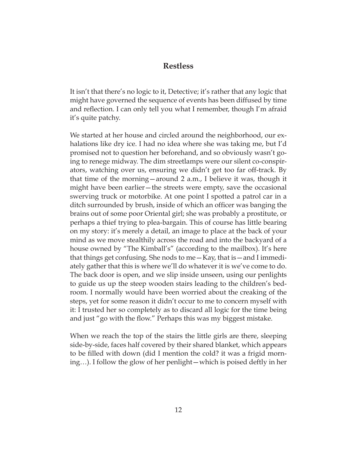## **Restless**

<span id="page-19-0"></span>It isn't that there's no logic to it, Detective; it's rather that any logic that might have governed the sequence of events has been diffused by time and reflection. I can only tell you what I remember, though I'm afraid it's quite patchy.

We started at her house and circled around the neighborhood, our exhalations like dry ice. I had no idea where she was taking me, but I'd promised not to question her beforehand, and so obviously wasn't going to renege midway. The dim streetlamps were our silent co-conspirators, watching over us, ensuring we didn't get too far off-track. By that time of the morning—around 2 a.m., I believe it was, though it might have been earlier—the streets were empty, save the occasional swerving truck or motorbike. At one point I spotted a patrol car in a ditch surrounded by brush, inside of which an officer was banging the brains out of some poor Oriental girl; she was probably a prostitute, or perhaps a thief trying to plea-bargain. This of course has little bearing on my story: it's merely a detail, an image to place at the back of your mind as we move stealthily across the road and into the backyard of a house owned by "The Kimball's" (according to the mailbox). It's here that things get confusing. She nods to me—Kay, that is—and I immediately gather that this is where we'll do whatever it is we've come to do. The back door is open, and we slip inside unseen, using our penlights to guide us up the steep wooden stairs leading to the children's bedroom. I normally would have been worried about the creaking of the steps, yet for some reason it didn't occur to me to concern myself with it: I trusted her so completely as to discard all logic for the time being and just "go with the flow." Perhaps this was my biggest mistake.

When we reach the top of the stairs the little girls are there, sleeping side-by-side, faces half covered by their shared blanket, which appears to be filled with down (did I mention the cold? it was a frigid morning…). I follow the glow of her penlight—which is poised deftly in her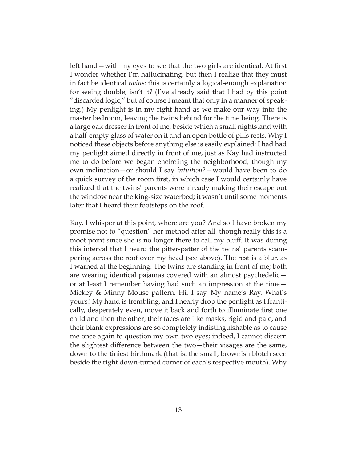left hand—with my eyes to see that the two girls are identical. At first I wonder whether I'm hallucinating, but then I realize that they must in fact be identical *twins*: this is certainly a logical-enough explanation for seeing double, isn't it? (I've already said that I had by this point "discarded logic," but of course I meant that only in a manner of speaking.) My penlight is in my right hand as we make our way into the master bedroom, leaving the twins behind for the time being. There is a large oak dresser in front of me, beside which a small nightstand with a half-empty glass of water on it and an open bottle of pills rests. Why I noticed these objects before anything else is easily explained: I had had my penlight aimed directly in front of me, just as Kay had instructed me to do before we began encircling the neighborhood, though my own inclination—or should I say *intuition*?—would have been to do a quick survey of the room first, in which case I would certainly have realized that the twins' parents were already making their escape out the window near the king-size waterbed; it wasn't until some moments later that I heard their footsteps on the roof.

Kay, I whisper at this point, where are you? And so I have broken my promise not to "question" her method after all, though really this is a moot point since she is no longer there to call my bluff. It was during this interval that I heard the pitter-patter of the twins' parents scampering across the roof over my head (see above). The rest is a blur, as I warned at the beginning. The twins are standing in front of me; both are wearing identical pajamas covered with an almost psychedelic or at least I remember having had such an impression at the time— Mickey & Minny Mouse pattern. Hi, I say. My name's Ray. What's yours? My hand is trembling, and I nearly drop the penlight as I frantically, desperately even, move it back and forth to illuminate first one child and then the other; their faces are like masks, rigid and pale, and their blank expressions are so completely indistinguishable as to cause me once again to question my own two eyes; indeed, I cannot discern the slightest difference between the two—their visages are the same, down to the tiniest birthmark (that is: the small, brownish blotch seen beside the right down-turned corner of each's respective mouth). Why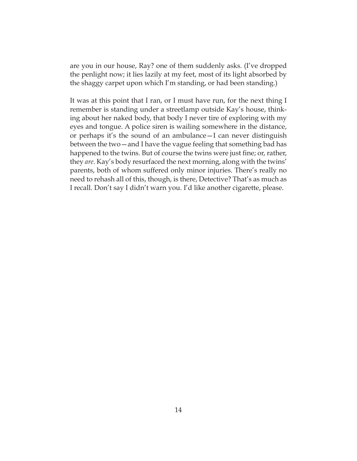are you in our house, Ray? one of them suddenly asks. (I've dropped the penlight now; it lies lazily at my feet, most of its light absorbed by the shaggy carpet upon which I'm standing, or had been standing.)

It was at this point that I ran, or I must have run, for the next thing I remember is standing under a streetlamp outside Kay's house, thinking about her naked body, that body I never tire of exploring with my eyes and tongue. A police siren is wailing somewhere in the distance, or perhaps it's the sound of an ambulance—I can never distinguish between the two—and I have the vague feeling that something bad has happened to the twins. But of course the twins were just fine; or, rather, they *are*. Kay's body resurfaced the next morning, along with the twins' parents, both of whom suffered only minor injuries. There's really no need to rehash all of this, though, is there, Detective? That's as much as I recall. Don't say I didn't warn you. I'd like another cigarette, please.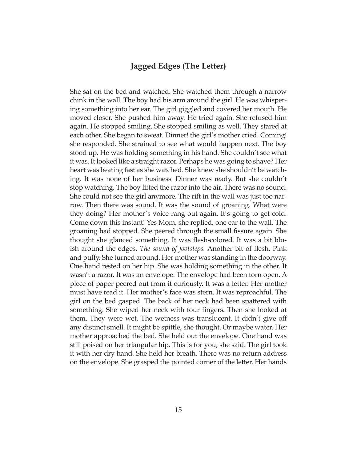# **Jagged Edges (The Letter)**

<span id="page-22-0"></span>She sat on the bed and watched. She watched them through a narrow chink in the wall. The boy had his arm around the girl. He was whispering something into her ear. The girl giggled and covered her mouth. He moved closer. She pushed him away. He tried again. She refused him again. He stopped smiling. She stopped smiling as well. They stared at each other. She began to sweat. Dinner! the girl's mother cried. Coming! she responded. She strained to see what would happen next. The boy stood up. He was holding something in his hand. She couldn't see what it was. It looked like a straight razor. Perhaps he was going to shave? Her heart was beating fast as she watched. She knew she shouldn't be watching. It was none of her business. Dinner was ready. But she couldn't stop watching. The boy lifted the razor into the air. There was no sound. She could not see the girl anymore. The rift in the wall was just too narrow. Then there was sound. It was the sound of groaning. What were they doing? Her mother's voice rang out again. It's going to get cold. Come down this instant! Yes Mom, she replied, one ear to the wall. The groaning had stopped. She peered through the small fissure again. She thought she glanced something. It was flesh-colored. It was a bit bluish around the edges. *The sound of footsteps.* Another bit of flesh. Pink and puffy. She turned around. Her mother was standing in the doorway. One hand rested on her hip. She was holding something in the other. It wasn't a razor. It was an envelope. The envelope had been torn open. A piece of paper peered out from it curiously. It was a letter. Her mother must have read it. Her mother's face was stern. It was reproachful. The girl on the bed gasped. The back of her neck had been spattered with something. She wiped her neck with four fingers. Then she looked at them. They were wet. The wetness was translucent. It didn't give off any distinct smell. It might be spittle, she thought. Or maybe water. Her mother approached the bed. She held out the envelope. One hand was still poised on her triangular hip. This is for you, she said. The girl took it with her dry hand. She held her breath. There was no return address on the envelope. She grasped the pointed corner of the letter. Her hands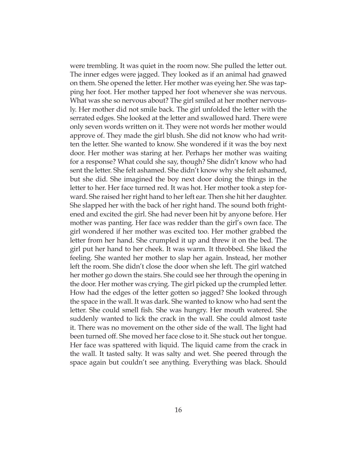were trembling. It was quiet in the room now. She pulled the letter out. The inner edges were jagged. They looked as if an animal had gnawed on them. She opened the letter. Her mother was eyeing her. She was tapping her foot. Her mother tapped her foot whenever she was nervous. What was she so nervous about? The girl smiled at her mother nervously. Her mother did not smile back. The girl unfolded the letter with the serrated edges. She looked at the letter and swallowed hard. There were only seven words written on it. They were not words her mother would approve of. They made the girl blush. She did not know who had written the letter. She wanted to know. She wondered if it was the boy next door. Her mother was staring at her. Perhaps her mother was waiting for a response? What could she say, though? She didn't know who had sent the letter. She felt ashamed. She didn't know why she felt ashamed, but she did. She imagined the boy next door doing the things in the letter to her. Her face turned red. It was hot. Her mother took a step forward. She raised her right hand to her left ear. Then she hit her daughter. She slapped her with the back of her right hand. The sound both frightened and excited the girl. She had never been hit by anyone before. Her mother was panting. Her face was redder than the girl's own face. The girl wondered if her mother was excited too. Her mother grabbed the letter from her hand. She crumpled it up and threw it on the bed. The girl put her hand to her cheek. It was warm. It throbbed. She liked the feeling. She wanted her mother to slap her again. Instead, her mother left the room. She didn't close the door when she left. The girl watched her mother go down the stairs. She could see her through the opening in the door. Her mother was crying. The girl picked up the crumpled letter. How had the edges of the letter gotten so jagged? She looked through the space in the wall. It was dark. She wanted to know who had sent the letter. She could smell fish. She was hungry. Her mouth watered. She suddenly wanted to lick the crack in the wall. She could almost taste it. There was no movement on the other side of the wall. The light had been turned off. She moved her face close to it. She stuck out her tongue. Her face was spattered with liquid. The liquid came from the crack in the wall. It tasted salty. It was salty and wet. She peered through the space again but couldn't see anything. Everything was black. Should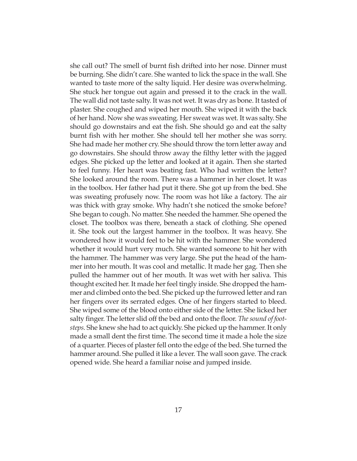she call out? The smell of burnt fish drifted into her nose. Dinner must be burning. She didn't care. She wanted to lick the space in the wall. She wanted to taste more of the salty liquid. Her desire was overwhelming. She stuck her tongue out again and pressed it to the crack in the wall. The wall did not taste salty. It was not wet. It was dry as bone. It tasted of plaster. She coughed and wiped her mouth. She wiped it with the back of her hand. Now she was sweating. Her sweat was wet. It was salty. She should go downstairs and eat the fish. She should go and eat the salty burnt fish with her mother. She should tell her mother she was sorry. She had made her mother cry. She should throw the torn letter away and go downstairs. She should throw away the filthy letter with the jagged edges. She picked up the letter and looked at it again. Then she started to feel funny. Her heart was beating fast. Who had written the letter? She looked around the room. There was a hammer in her closet. It was in the toolbox. Her father had put it there. She got up from the bed. She was sweating profusely now. The room was hot like a factory. The air was thick with gray smoke. Why hadn't she noticed the smoke before? She began to cough. No matter. She needed the hammer. She opened the closet. The toolbox was there, beneath a stack of clothing. She opened it. She took out the largest hammer in the toolbox. It was heavy. She wondered how it would feel to be hit with the hammer. She wondered whether it would hurt very much. She wanted someone to hit her with the hammer. The hammer was very large. She put the head of the hammer into her mouth. It was cool and metallic. It made her gag. Then she pulled the hammer out of her mouth. It was wet with her saliva. This thought excited her. It made her feel tingly inside. She dropped the hammer and climbed onto the bed. She picked up the furrowed letter and ran her fingers over its serrated edges. One of her fingers started to bleed. She wiped some of the blood onto either side of the letter. She licked her salty finger. The letter slid off the bed and onto the floor. *The sound of footsteps.* She knew she had to act quickly. She picked up the hammer. It only made a small dent the first time. The second time it made a hole the size of a quarter. Pieces of plaster fell onto the edge of the bed. She turned the hammer around. She pulled it like a lever. The wall soon gave. The crack opened wide. She heard a familiar noise and jumped inside.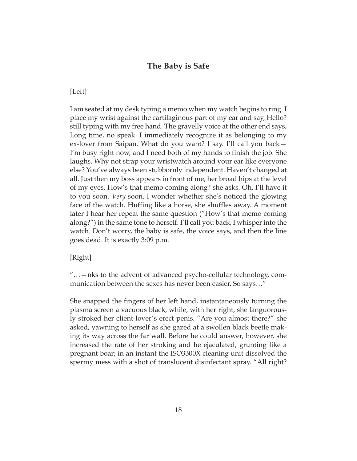## **The Baby is Safe**

## <span id="page-25-0"></span>[Left]

I am seated at my desk typing a memo when my watch begins to ring. I place my wrist against the cartilaginous part of my ear and say, Hello? still typing with my free hand. The gravelly voice at the other end says, Long time, no speak. I immediately recognize it as belonging to my ex-lover from Saipan. What do you want? I say. I'll call you back— I'm busy right now, and I need both of my hands to finish the job. She laughs. Why not strap your wristwatch around your ear like everyone else? You've always been stubbornly independent. Haven't changed at all. Just then my boss appears in front of me, her broad hips at the level of my eyes. How's that memo coming along? she asks. Oh, I'll have it to you soon. *Very* soon. I wonder whether she's noticed the glowing face of the watch. Huffing like a horse, she shuffles away. A moment later I hear her repeat the same question ("How's that memo coming along?") in the same tone to herself. I'll call you back, I whisper into the watch. Don't worry, the baby is safe, the voice says, and then the line goes dead. It is exactly 3:09 p.m.

## [Right]

"…—nks to the advent of advanced psycho-cellular technology, communication between the sexes has never been easier. So says…"

She snapped the fingers of her left hand, instantaneously turning the plasma screen a vacuous black, while, with her right, she languorously stroked her client-lover's erect penis. "Are you almost there?" she asked, yawning to herself as she gazed at a swollen black beetle making its way across the far wall. Before he could answer, however, she increased the rate of her stroking and he ejaculated, grunting like a pregnant boar; in an instant the ISO3300X cleaning unit dissolved the spermy mess with a shot of translucent disinfectant spray. "All right?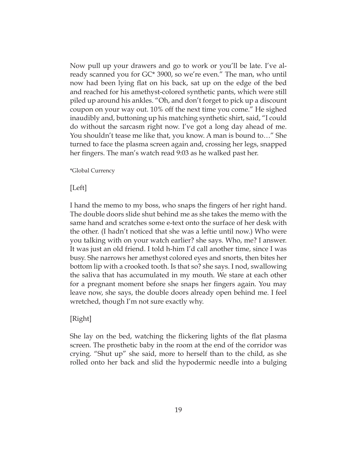Now pull up your drawers and go to work or you'll be late. I've already scanned you for GC\* 3900, so we're even." The man, who until now had been lying flat on his back, sat up on the edge of the bed and reached for his amethyst-colored synthetic pants, which were still piled up around his ankles. "Oh, and don't forget to pick up a discount coupon on your way out. 10% off the next time you come." He sighed inaudibly and, buttoning up his matching synthetic shirt, said, "I could do without the sarcasm right now. I've got a long day ahead of me. You shouldn't tease me like that, you know. A man is bound to…" She turned to face the plasma screen again and, crossing her legs, snapped her fingers. The man's watch read 9:03 as he walked past her.

\*Global Currency

[Left]

I hand the memo to my boss, who snaps the fingers of her right hand. The double doors slide shut behind me as she takes the memo with the same hand and scratches some e-text onto the surface of her desk with the other. (I hadn't noticed that she was a leftie until now.) Who were you talking with on your watch earlier? she says. Who, me? I answer. It was just an old friend. I told h-him I'd call another time, since I was busy. She narrows her amethyst colored eyes and snorts, then bites her bottom lip with a crooked tooth. Is that so? she says. I nod, swallowing the saliva that has accumulated in my mouth. We stare at each other for a pregnant moment before she snaps her fingers again. You may leave now, she says, the double doors already open behind me. I feel wretched, though I'm not sure exactly why.

## [Right]

She lay on the bed, watching the flickering lights of the flat plasma screen. The prosthetic baby in the room at the end of the corridor was crying. "Shut up" she said, more to herself than to the child, as she rolled onto her back and slid the hypodermic needle into a bulging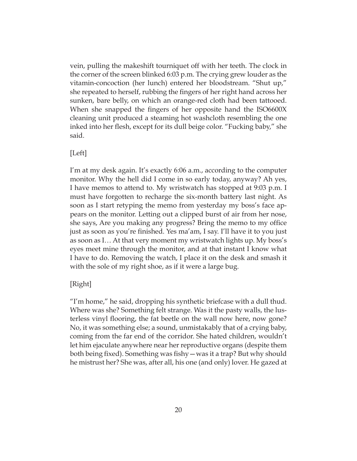vein, pulling the makeshift tourniquet off with her teeth. The clock in the corner of the screen blinked 6:03 p.m. The crying grew louder as the vitamin-concoction (her lunch) entered her bloodstream. "Shut up," she repeated to herself, rubbing the fingers of her right hand across her sunken, bare belly, on which an orange-red cloth had been tattooed. When she snapped the fingers of her opposite hand the ISO6600X cleaning unit produced a steaming hot washcloth resembling the one inked into her flesh, except for its dull beige color. "Fucking baby," she said.

## [Left]

I'm at my desk again. It's exactly 6:06 a.m., according to the computer monitor. Why the hell did I come in so early today, anyway? Ah yes, I have memos to attend to. My wristwatch has stopped at 9:03 p.m. I must have forgotten to recharge the six-month battery last night. As soon as I start retyping the memo from yesterday my boss's face appears on the monitor. Letting out a clipped burst of air from her nose, she says, Are you making any progress? Bring the memo to my office just as soon as you're finished. Yes ma'am, I say. I'll have it to you just as soon as I… At that very moment my wristwatch lights up. My boss's eyes meet mine through the monitor, and at that instant I know what I have to do. Removing the watch, I place it on the desk and smash it with the sole of my right shoe, as if it were a large bug.

## [Right]

"I'm home," he said, dropping his synthetic briefcase with a dull thud. Where was she? Something felt strange. Was it the pasty walls, the lusterless vinyl flooring, the fat beetle on the wall now here, now gone? No, it was something else; a sound, unmistakably that of a crying baby, coming from the far end of the corridor. She hated children, wouldn't let him ejaculate anywhere near her reproductive organs (despite them both being fixed). Something was fishy—was it a trap? But why should he mistrust her? She was, after all, his one (and only) lover. He gazed at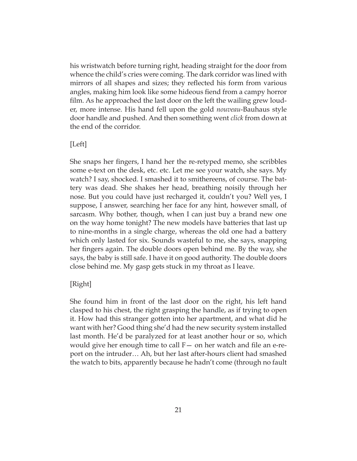his wristwatch before turning right, heading straight for the door from whence the child's cries were coming. The dark corridor was lined with mirrors of all shapes and sizes; they reflected his form from various angles, making him look like some hideous fiend from a campy horror film. As he approached the last door on the left the wailing grew louder, more intense. His hand fell upon the gold *nouveau*-Bauhaus style door handle and pushed. And then something went *click* from down at the end of the corridor.

## [Left]

She snaps her fingers, I hand her the re-retyped memo, she scribbles some e-text on the desk, etc. etc. Let me see your watch, she says. My watch? I say, shocked. I smashed it to smithereens, of course. The battery was dead. She shakes her head, breathing noisily through her nose. But you could have just recharged it, couldn't you? Well yes, I suppose, I answer, searching her face for any hint, however small, of sarcasm. Why bother, though, when I can just buy a brand new one on the way home tonight? The new models have batteries that last up to nine-months in a single charge, whereas the old one had a battery which only lasted for six. Sounds wasteful to me, she says, snapping her fingers again. The double doors open behind me. By the way, she says, the baby is still safe. I have it on good authority. The double doors close behind me. My gasp gets stuck in my throat as I leave.

## [Right]

She found him in front of the last door on the right, his left hand clasped to his chest, the right grasping the handle, as if trying to open it. How had this stranger gotten into her apartment, and what did he want with her? Good thing she'd had the new security system installed last month. He'd be paralyzed for at least another hour or so, which would give her enough time to call F— on her watch and file an e-report on the intruder… Ah, but her last after-hours client had smashed the watch to bits, apparently because he hadn't come (through no fault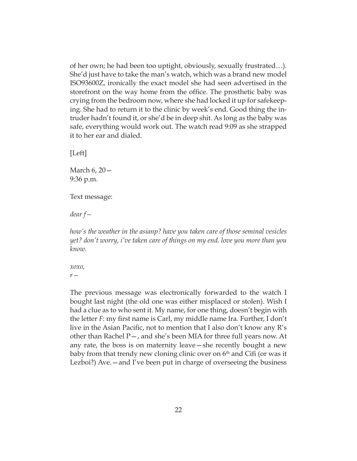of her own; he had been too uptight, obviously, sexually frustrated…). She'd just have to take the man's watch, which was a brand new model ISO93600Z, ironically the exact model she had seen advertised in the storefront on the way home from the office. The prosthetic baby was crying from the bedroom now, where she had locked it up for safekeeping. She had to return it to the clinic by week's end. Good thing the intruder hadn't found it, or she'd be in deep shit. As long as the baby was safe, everything would work out. The watch read 9:09 as she strapped it to her ear and dialed.

[Left]

March 6, 20— 9:36 p.m.

Text message:

*dear f—*

*how's the weather in the asianp? have you taken care of those seminal vesicles yet? don't worry, i've taken care of things on my end. love you more than you know.*

*xoxo, r—*

The previous message was electronically forwarded to the watch I bought last night (the old one was either misplaced or stolen). Wish I had a clue as to who sent it. My name, for one thing, doesn't begin with the letter *F*: my first name is Carl, my middle name Ira. Further, I don't live in the Asian Pacific, not to mention that I also don't know any R's other than Rachel P—, and she's been MIA for three full years now. At any rate, the boss is on maternity leave—she recently bought a new baby from that trendy new cloning clinic over on  $6<sup>th</sup>$  and Cifi (or was it Lezboi?) Ave.—and I've been put in charge of overseeing the business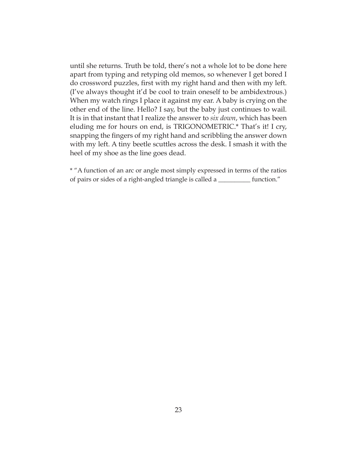until she returns. Truth be told, there's not a whole lot to be done here apart from typing and retyping old memos, so whenever I get bored I do crossword puzzles, first with my right hand and then with my left. (I've always thought it'd be cool to train oneself to be ambidextrous.) When my watch rings I place it against my ear. A baby is crying on the other end of the line. Hello? I say, but the baby just continues to wail. It is in that instant that I realize the answer to *six down*, which has been eluding me for hours on end, is TRIGONOMETRIC.\* That's it! I cry, snapping the fingers of my right hand and scribbling the answer down with my left. A tiny beetle scuttles across the desk. I smash it with the heel of my shoe as the line goes dead.

\* "A function of an arc or angle most simply expressed in terms of the ratios of pairs or sides of a right-angled triangle is called a \_\_\_\_\_\_\_\_\_\_ function."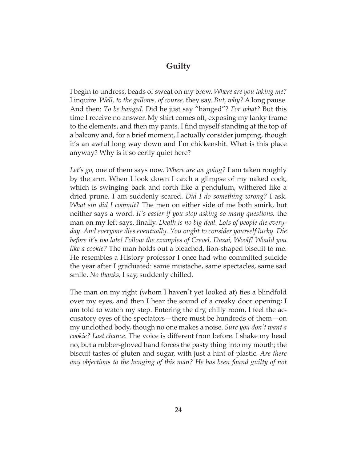# **Guilty**

<span id="page-31-0"></span>I begin to undress, beads of sweat on my brow. *Where are you taking me?* I inquire. *Well, to the gallows, of course,* they say. *But, why?* A long pause. And then: *To be hanged.* Did he just say "hanged"? *For what?* But this time I receive no answer. My shirt comes off, exposing my lanky frame to the elements, and then my pants. I find myself standing at the top of a balcony and, for a brief moment, I actually consider jumping, though it's an awful long way down and I'm chickenshit. What is this place anyway? Why is it so eerily quiet here?

*Let's go,* one of them says now. *Where are we going?* I am taken roughly by the arm. When I look down I catch a glimpse of my naked cock, which is swinging back and forth like a pendulum, withered like a dried prune. I am suddenly scared. *Did I do something wrong?* I ask. *What sin did I commit?* The men on either side of me both smirk, but neither says a word. *It's easier if you stop asking so many questions,* the man on my left says, finally. *Death is no big deal. Lots of people die everyday. And everyone dies eventually. You ought to consider yourself lucky. Die before it's too late! Follow the examples of Crevel, Dazai, Woolf! Would you like a cookie?* The man holds out a bleached, lion-shaped biscuit to me. He resembles a History professor I once had who committed suicide the year after I graduated: same mustache, same spectacles, same sad smile. *No thanks,* I say, suddenly chilled.

The man on my right (whom I haven't yet looked at) ties a blindfold over my eyes, and then I hear the sound of a creaky door opening; I am told to watch my step. Entering the dry, chilly room, I feel the accusatory eyes of the spectators—there must be hundreds of them—on my unclothed body, though no one makes a noise. *Sure you don't want a cookie? Last chance.* The voice is different from before. I shake my head no, but a rubber-gloved hand forces the pasty thing into my mouth; the biscuit tastes of gluten and sugar, with just a hint of plastic. *Are there*  any objections to the hanging of this man? He has been found guilty of not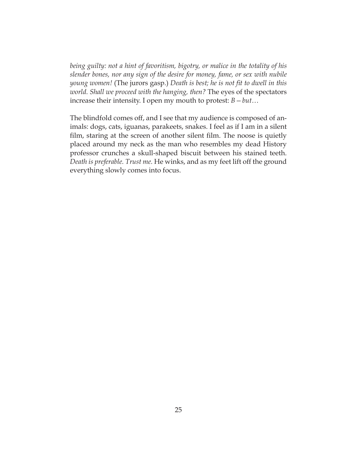*being guilty: not a hint of favoritism, bigotry, or malice in the totality of his slender bones, nor any sign of the desire for money, fame, or sex with nubile young women!* (The jurors gasp.) *Death is best; he is not fit to dwell in this world. Shall we proceed with the hanging, then?* The eyes of the spectators increase their intensity. I open my mouth to protest: *B—but…*

The blindfold comes off, and I see that my audience is composed of animals: dogs, cats, iguanas, parakeets, snakes. I feel as if I am in a silent film, staring at the screen of another silent film. The noose is quietly placed around my neck as the man who resembles my dead History professor crunches a skull-shaped biscuit between his stained teeth. *Death is preferable. Trust me.* He winks, and as my feet lift off the ground everything slowly comes into focus.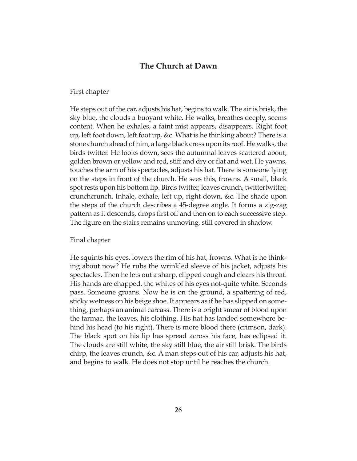## **The Church at Dawn**

#### <span id="page-33-0"></span>First chapter

He steps out of the car, adjusts his hat, begins to walk. The air is brisk, the sky blue, the clouds a buoyant white. He walks, breathes deeply, seems content. When he exhales, a faint mist appears, disappears. Right foot up, left foot down, left foot up, &c. What is he thinking about? There is a stone church ahead of him, a large black cross upon its roof. He walks, the birds twitter. He looks down, sees the autumnal leaves scattered about, golden brown or yellow and red, stiff and dry or flat and wet. He yawns, touches the arm of his spectacles, adjusts his hat. There is someone lying on the steps in front of the church. He sees this, frowns. A small, black spot rests upon his bottom lip. Birds twitter, leaves crunch, twittertwitter, crunchcrunch. Inhale, exhale, left up, right down, &c. The shade upon the steps of the church describes a 45-degree angle. It forms a zig-zag pattern as it descends, drops first off and then on to each successive step. The figure on the stairs remains unmoving, still covered in shadow.

#### Final chapter

He squints his eyes, lowers the rim of his hat, frowns. What is he thinking about now? He rubs the wrinkled sleeve of his jacket, adjusts his spectacles. Then he lets out a sharp, clipped cough and clears his throat. His hands are chapped, the whites of his eyes not-quite white. Seconds pass. Someone groans. Now he is on the ground, a spattering of red, sticky wetness on his beige shoe. It appears as if he has slipped on something, perhaps an animal carcass. There is a bright smear of blood upon the tarmac, the leaves, his clothing. His hat has landed somewhere behind his head (to his right). There is more blood there (crimson, dark). The black spot on his lip has spread across his face, has eclipsed it. The clouds are still white, the sky still blue, the air still brisk. The birds chirp, the leaves crunch, &c. A man steps out of his car, adjusts his hat, and begins to walk. He does not stop until he reaches the church.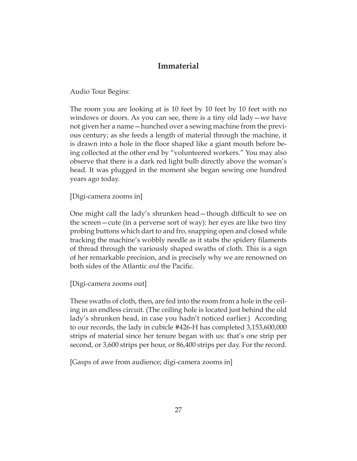# **Immaterial**

<span id="page-34-0"></span>Audio Tour Begins:

The room you are looking at is 10 feet by 10 feet by 10 feet with no windows or doors. As you can see, there is a tiny old lady—we have not given her a name—hunched over a sewing machine from the previous century; as she feeds a length of material through the machine, it is drawn into a hole in the floor shaped like a giant mouth before being collected at the other end by "volunteered workers." You may also observe that there is a dark red light bulb directly above the woman's head. It was plugged in the moment she began sewing one hundred years ago today.

[Digi-camera zooms in]

One might call the lady's shrunken head—though difficult to see on the screen—cute (in a perverse sort of way): her eyes are like two tiny probing buttons which dart to and fro, snapping open and closed while tracking the machine's wobbly needle as it stabs the spidery filaments of thread through the variously shaped swaths of cloth. This is a sign of her remarkable precision, and is precisely why we are renowned on both sides of the Atlantic *and* the Pacific.

[Digi-camera zooms out]

These swaths of cloth, then, are fed into the room from a hole in the ceiling in an endless circuit. (The ceiling hole is located just behind the old lady's shrunken head, in case you hadn't noticed earlier.) According to our records, the lady in cubicle #426-H has completed 3,153,600,000 strips of material since her tenure began with us: that's one strip per second, or 3,600 strips per hour, or 86,400 strips per day. For the record.

[Gasps of awe from audience; digi-camera zooms in]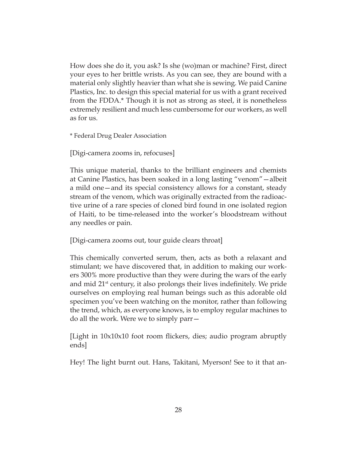How does she do it, you ask? Is she (wo)man or machine? First, direct your eyes to her brittle wrists. As you can see, they are bound with a material only slightly heavier than what she is sewing. We paid Canine Plastics, Inc. to design this special material for us with a grant received from the FDDA.\* Though it is not as strong as steel, it is nonetheless extremely resilient and much less cumbersome for our workers, as well as for us.

\* Federal Drug Dealer Association

[Digi-camera zooms in, refocuses]

This unique material, thanks to the brilliant engineers and chemists at Canine Plastics, has been soaked in a long lasting "venom"—albeit a mild one—and its special consistency allows for a constant, steady stream of the venom, which was originally extracted from the radioactive urine of a rare species of cloned bird found in one isolated region of Haiti, to be time-released into the worker's bloodstream without any needles or pain.

[Digi-camera zooms out, tour guide clears throat]

This chemically converted serum, then, acts as both a relaxant and stimulant; we have discovered that, in addition to making our workers 300% more productive than they were during the wars of the early and mid 21st century, it also prolongs their lives indefinitely. We pride ourselves on employing real human beings such as this adorable old specimen you've been watching on the monitor, rather than following the trend, which, as everyone knows, is to employ regular machines to do all the work. Were we to simply parr—

[Light in 10x10x10 foot room flickers, dies; audio program abruptly ends]

Hey! The light burnt out. Hans, Takitani, Myerson! See to it that an-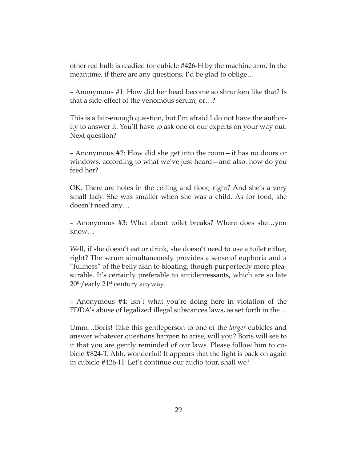other red bulb is readied for cubicle #426-H by the machine arm. In the meantime, if there are any questions, I'd be glad to oblige…

– Anonymous #1: How did her head become so shrunken like that? Is that a side-effect of the venomous serum, or…?

This is a fair-enough question, but I'm afraid I do not have the authority to answer it. You'll have to ask one of our experts on your way out. Next question?

– Anonymous #2: How did she get into the room—it has no doors or windows, according to what we've just heard—and also: how do you feed her?

OK. There are holes in the ceiling and floor, right? And she's a very small lady. She was smaller when she was a child. As for food, she doesn't need any…

– Anonymous #3: What about toilet breaks? Where does she…you know…

Well, if she doesn't eat or drink, she doesn't need to use a toilet either, right? The serum simultaneously provides a sense of euphoria and a "fullness" of the belly akin to bloating, though purportedly more pleasurable. It's certainly preferable to antidepressants, which are so late  $20<sup>th</sup>/$  early  $21<sup>st</sup>$  century anyway.

– Anonymous #4: Isn't what you're doing here in violation of the FDDA's abuse of legalized illegal substances laws, as set forth in the…

Umm…Boris! Take this gentleperson to one of the *larger* cubicles and answer whatever questions happen to arise, will you? Boris will see to it that you are gently reminded of our laws. Please follow him to cubicle #824-T. Ahh, wonderful! It appears that the light is back on again in cubicle #426-H. Let's continue our audio tour, shall we?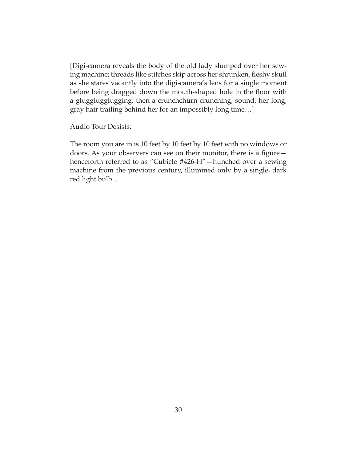[Digi-camera reveals the body of the old lady slumped over her sewing machine; threads like stitches skip across her shrunken, fleshy skull as she stares vacantly into the digi-camera's lens for a single moment before being dragged down the mouth-shaped hole in the floor with a glugglugglugging, then a crunchchurn crunching, sound, her long, gray hair trailing behind her for an impossibly long time…]

Audio Tour Desists:

The room you are in is 10 feet by 10 feet by 10 feet with no windows or doors. As your observers can see on their monitor, there is a figure henceforth referred to as "Cubicle #426-H"—hunched over a sewing machine from the previous century, illumined only by a single, dark red light bulb…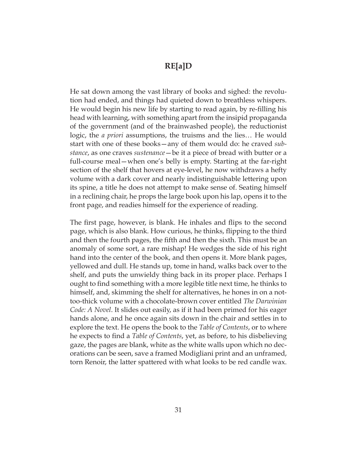## **RE[a]D**

He sat down among the vast library of books and sighed: the revolution had ended, and things had quieted down to breathless whispers. He would begin his new life by starting to read again, by re-filling his head with learning, with something apart from the insipid propaganda of the government (and of the brainwashed people), the reductionist logic, the *a priori* assumptions, the truisms and the lies… He would start with one of these books—any of them would do: he craved *substance*, as one craves *sustenance*—be it a piece of bread with butter or a full-course meal—when one's belly is empty. Starting at the far-right section of the shelf that hovers at eye-level, he now withdraws a hefty volume with a dark cover and nearly indistinguishable lettering upon its spine, a title he does not attempt to make sense of. Seating himself in a reclining chair, he props the large book upon his lap, opens it to the front page, and readies himself for the experience of reading.

The first page, however, is blank. He inhales and flips to the second page, which is also blank. How curious, he thinks, flipping to the third and then the fourth pages, the fifth and then the sixth. This must be an anomaly of some sort, a rare mishap! He wedges the side of his right hand into the center of the book, and then opens it. More blank pages, yellowed and dull. He stands up, tome in hand, walks back over to the shelf, and puts the unwieldy thing back in its proper place. Perhaps I ought to find something with a more legible title next time, he thinks to himself, and, skimming the shelf for alternatives, he hones in on a nottoo-thick volume with a chocolate-brown cover entitled *The Darwinian Code: A Novel*. It slides out easily, as if it had been primed for his eager hands alone, and he once again sits down in the chair and settles in to explore the text. He opens the book to the *Table of Contents*, or to where he expects to find a *Table of Contents*, yet, as before, to his disbelieving gaze, the pages are blank, white as the white walls upon which no decorations can be seen, save a framed Modigliani print and an unframed, torn Renoir, the latter spattered with what looks to be red candle wax.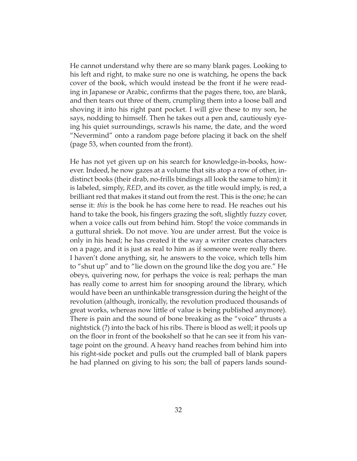He cannot understand why there are so many blank pages. Looking to his left and right, to make sure no one is watching, he opens the back cover of the book, which would instead be the front if he were reading in Japanese or Arabic, confirms that the pages there, too, are blank, and then tears out three of them, crumpling them into a loose ball and shoving it into his right pant pocket. I will give these to my son, he says, nodding to himself. Then he takes out a pen and, cautiously eyeing his quiet surroundings, scrawls his name, the date, and the word "Nevermind" onto a random page before placing it back on the shelf (page 53, when counted from the front).

He has not yet given up on his search for knowledge-in-books, however. Indeed, he now gazes at a volume that sits atop a row of other, indistinct books (their drab, no-frills bindings all look the same to him): it is labeled, simply, *RED*, and its cover, as the title would imply, is red, a brilliant red that makes it stand out from the rest. This is the one; he can sense it: *this* is the book he has come here to read. He reaches out his hand to take the book, his fingers grazing the soft, slightly fuzzy cover, when a voice calls out from behind him. Stop! the voice commands in a guttural shriek. Do not move. You are under arrest. But the voice is only in his head; he has created it the way a writer creates characters on a page, and it is just as real to him as if someone were really there. I haven't done anything, sir, he answers to the voice, which tells him to "shut up" and to "lie down on the ground like the dog you are." He obeys, quivering now, for perhaps the voice is real; perhaps the man has really come to arrest him for snooping around the library, which would have been an unthinkable transgression during the height of the revolution (although, ironically, the revolution produced thousands of great works, whereas now little of value is being published anymore). There is pain and the sound of bone breaking as the "voice" thrusts a nightstick (?) into the back of his ribs. There is blood as well; it pools up on the floor in front of the bookshelf so that he can see it from his vantage point on the ground. A heavy hand reaches from behind him into his right-side pocket and pulls out the crumpled ball of blank papers he had planned on giving to his son; the ball of papers lands sound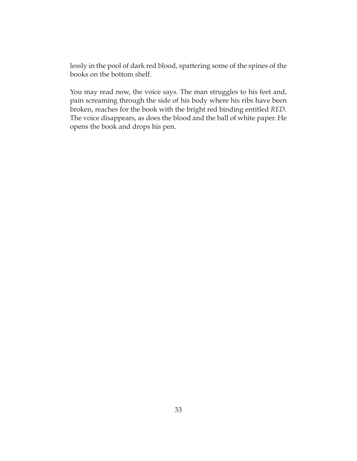lessly in the pool of dark red blood, spattering some of the spines of the books on the bottom shelf.

You may read now, the voice says. The man struggles to his feet and, pain screaming through the side of his body where his ribs have been broken, reaches for the book with the bright red binding entitled *RED*. The voice disappears, as does the blood and the ball of white paper. He opens the book and drops his pen.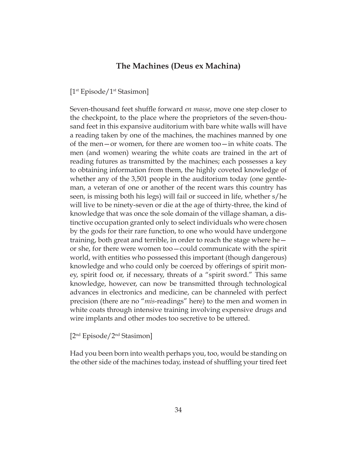### **The Machines (Deus ex Machina)**

[1<sup>st</sup> Episode/1<sup>st</sup> Stasimon]

Seven-thousand feet shuffle forward *en masse*, move one step closer to the checkpoint, to the place where the proprietors of the seven-thousand feet in this expansive auditorium with bare white walls will have a reading taken by one of the machines, the machines manned by one of the men—or women, for there are women too—in white coats. The men (and women) wearing the white coats are trained in the art of reading futures as transmitted by the machines; each possesses a key to obtaining information from them, the highly coveted knowledge of whether any of the 3,501 people in the auditorium today (one gentleman, a veteran of one or another of the recent wars this country has seen, is missing both his legs) will fail or succeed in life, whether s/he will live to be ninety-seven or die at the age of thirty-three, the kind of knowledge that was once the sole domain of the village shaman, a distinctive occupation granted only to select individuals who were chosen by the gods for their rare function, to one who would have undergone training, both great and terrible, in order to reach the stage where he or she, for there were women too—could communicate with the spirit world, with entities who possessed this important (though dangerous) knowledge and who could only be coerced by offerings of spirit money, spirit food or, if necessary, threats of a "spirit sword." This same knowledge, however, can now be transmitted through technological advances in electronics and medicine, can be channeled with perfect precision (there are no "*mis*-readings" here) to the men and women in white coats through intensive training involving expensive drugs and wire implants and other modes too secretive to be uttered.

[2nd Episode/2nd Stasimon]

Had you been born into wealth perhaps you, too, would be standing on the other side of the machines today, instead of shuffling your tired feet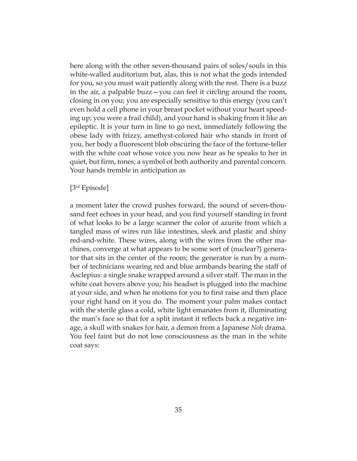here along with the other seven-thousand pairs of soles/souls in this white-walled auditorium but, alas, this is not what the gods intended for you, so you must wait patiently along with the rest. There is a buzz in the air, a palpable buzz—you can feel it circling around the room, closing in on you; you are especially sensitive to this energy (you can't even hold a cell phone in your breast pocket without your heart speeding up; you were a frail child), and your hand is shaking from it like an epileptic. It is your turn in line to go next, immediately following the obese lady with frizzy, amethyst-colored hair who stands in front of you, her body a fluorescent blob obscuring the face of the fortune-teller with the white coat whose voice you now hear as he speaks to her in quiet, but firm, tones; a symbol of both authority and parental concern. Your hands tremble in anticipation as

### [3rd Episode]

a moment later the crowd pushes forward, the sound of seven-thousand feet echoes in your head, and you find yourself standing in front of what looks to be a large scanner the color of azurite from which a tangled mass of wires run like intestines, sleek and plastic and shiny red-and-white. These wires, along with the wires from the other machines, converge at what appears to be some sort of (nuclear?) generator that sits in the center of the room; the generator is run by a number of technicians wearing red and blue armbands bearing the staff of Asclepius: a single snake wrapped around a silver staff. The man in the white coat hovers above you; his headset is plugged into the machine at your side, and when he motions for you to first raise and then place your right hand on it you do. The moment your palm makes contact with the sterile glass a cold, white light emanates from it, illuminating the man's face so that for a split instant it reflects back a negative image, a skull with snakes for hair, a demon from a Japanese *Noh* drama. You feel faint but do not lose consciousness as the man in the white coat says: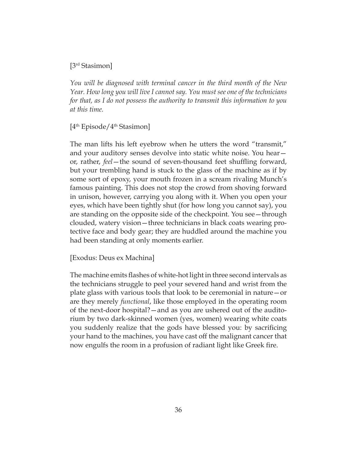[3rd Stasimon]

*You will be diagnosed with terminal cancer in the third month of the New Year. How long you will live I cannot say. You must see one of the technicians for that, as I do not possess the authority to transmit this information to you at this time.*

[4th Episode/4th Stasimon]

The man lifts his left eyebrow when he utters the word "transmit," and your auditory senses devolve into static white noise. You hear or, rather, *feel*—the sound of seven-thousand feet shuffling forward, but your trembling hand is stuck to the glass of the machine as if by some sort of epoxy, your mouth frozen in a scream rivaling Munch's famous painting. This does not stop the crowd from shoving forward in unison, however, carrying you along with it. When you open your eyes, which have been tightly shut (for how long you cannot say), you are standing on the opposite side of the checkpoint. You see—through clouded, watery vision—three technicians in black coats wearing protective face and body gear; they are huddled around the machine you had been standing at only moments earlier.

[Exodus: Deus ex Machina]

The machine emits flashes of white-hot light in three second intervals as the technicians struggle to peel your severed hand and wrist from the plate glass with various tools that look to be ceremonial in nature—or are they merely *functional*, like those employed in the operating room of the next-door hospital?—and as you are ushered out of the auditorium by two dark-skinned women (yes, women) wearing white coats you suddenly realize that the gods have blessed you: by sacrificing your hand to the machines, you have cast off the malignant cancer that now engulfs the room in a profusion of radiant light like Greek fire.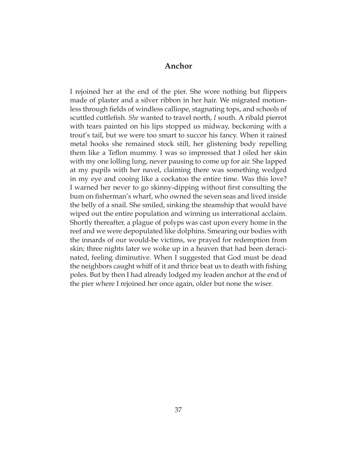### **Anchor**

I rejoined her at the end of the pier. She wore nothing but flippers made of plaster and a silver ribbon in her hair. We migrated motionless through fields of windless calliope, stagnating tops, and schools of scuttled cuttlefish. *She* wanted to travel north, *I* south. A ribald pierrot with tears painted on his lips stopped us midway, beckoning with a trout's tail, but we were too smart to succor his fancy. When it rained metal hooks she remained stock still, her glistening body repelling them like a Teflon mummy. I was so impressed that I oiled her skin with my one lolling lung, never pausing to come up for air. She lapped at my pupils with her navel, claiming there was something wedged in my eye and cooing like a cockatoo the entire time. Was this love? I warned her never to go skinny-dipping without first consulting the bum on fisherman's wharf, who owned the seven seas and lived inside the belly of a snail. She smiled, sinking the steamship that would have wiped out the entire population and winning us interrational acclaim. Shortly thereafter, a plague of polyps was cast upon every home in the reef and we were depopulated like dolphins. Smearing our bodies with the innards of our would-be victims, we prayed for redemption from skin; three nights later we woke up in a heaven that had been deracinated, feeling diminutive. When I suggested that God must be dead the neighbors caught whiff of it and thrice beat us to death with fishing poles. But by then I had already lodged my leaden anchor at the end of the pier where I rejoined her once again, older but none the wiser.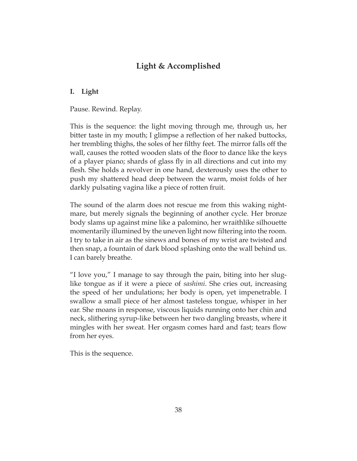# **Light & Accomplished**

### **I. Light**

Pause. Rewind. Replay.

This is the sequence: the light moving through me, through us, her bitter taste in my mouth; I glimpse a reflection of her naked buttocks, her trembling thighs, the soles of her filthy feet. The mirror falls off the wall, causes the rotted wooden slats of the floor to dance like the keys of a player piano; shards of glass fly in all directions and cut into my flesh. She holds a revolver in one hand, dexterously uses the other to push my shattered head deep between the warm, moist folds of her darkly pulsating vagina like a piece of rotten fruit.

The sound of the alarm does not rescue me from this waking nightmare, but merely signals the beginning of another cycle. Her bronze body slams up against mine like a palomino, her wraithlike silhouette momentarily illumined by the uneven light now filtering into the room. I try to take in air as the sinews and bones of my wrist are twisted and then snap, a fountain of dark blood splashing onto the wall behind us. I can barely breathe.

"I love you," I manage to say through the pain, biting into her sluglike tongue as if it were a piece of *sashimi*. She cries out, increasing the speed of her undulations; her body is open, yet impenetrable. I swallow a small piece of her almost tasteless tongue, whisper in her ear. She moans in response, viscous liquids running onto her chin and neck, slithering syrup-like between her two dangling breasts, where it mingles with her sweat. Her orgasm comes hard and fast; tears flow from her eyes.

This is the sequence.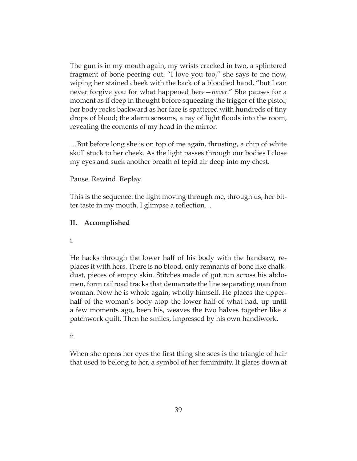The gun is in my mouth again, my wrists cracked in two, a splintered fragment of bone peering out. "I love you too," she says to me now, wiping her stained cheek with the back of a bloodied hand, "but I can never forgive you for what happened here—*never*." She pauses for a moment as if deep in thought before squeezing the trigger of the pistol; her body rocks backward as her face is spattered with hundreds of tiny drops of blood; the alarm screams, a ray of light floods into the room, revealing the contents of my head in the mirror.

…But before long she is on top of me again, thrusting, a chip of white skull stuck to her cheek. As the light passes through our bodies I close my eyes and suck another breath of tepid air deep into my chest.

Pause. Rewind. Replay.

This is the sequence: the light moving through me, through us, her bitter taste in my mouth. I glimpse a reflection…

#### **II. Accomplished**

i.

He hacks through the lower half of his body with the handsaw, replaces it with hers. There is no blood, only remnants of bone like chalkdust, pieces of empty skin. Stitches made of gut run across his abdomen, form railroad tracks that demarcate the line separating man from woman. Now he is whole again, wholly himself. He places the upperhalf of the woman's body atop the lower half of what had, up until a few moments ago, been his, weaves the two halves together like a patchwork quilt. Then he smiles, impressed by his own handiwork.

#### ii.

When she opens her eyes the first thing she sees is the triangle of hair that used to belong to her, a symbol of her femininity. It glares down at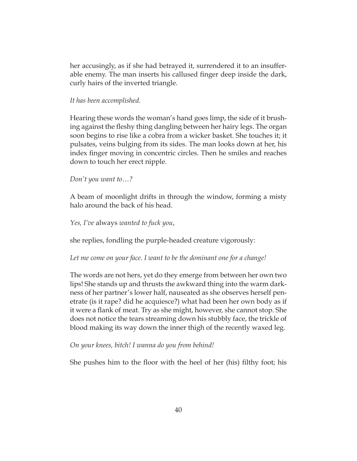her accusingly, as if she had betrayed it, surrendered it to an insufferable enemy. The man inserts his callused finger deep inside the dark, curly hairs of the inverted triangle.

#### *It has been accomplished*.

Hearing these words the woman's hand goes limp, the side of it brushing against the fleshy thing dangling between her hairy legs. The organ soon begins to rise like a cobra from a wicker basket. She touches it; it pulsates, veins bulging from its sides. The man looks down at her, his index finger moving in concentric circles. Then he smiles and reaches down to touch her erect nipple.

*Don't you want to…?*

A beam of moonlight drifts in through the window, forming a misty halo around the back of his head.

*Yes, I've* always *wanted to fuck you*,

she replies, fondling the purple-headed creature vigorously:

*Let me come on your face. I want to be the dominant one for a change!*

The words are not hers, yet do they emerge from between her own two lips! She stands up and thrusts the awkward thing into the warm darkness of her partner's lower half, nauseated as she observes herself penetrate (is it rape? did he acquiesce?) what had been her own body as if it were a flank of meat. Try as she might, however, she cannot stop. She does not notice the tears streaming down his stubbly face, the trickle of blood making its way down the inner thigh of the recently waxed leg.

*On your knees, bitch! I wanna do you from behind!*

She pushes him to the floor with the heel of her (his) filthy foot; his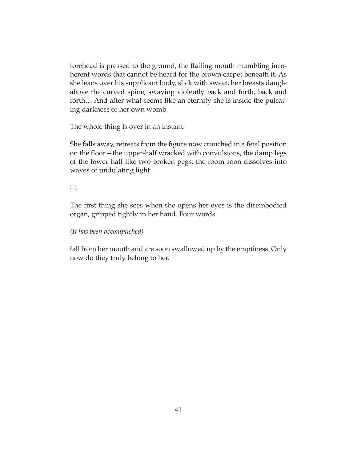forehead is pressed to the ground, the flailing mouth mumbling incoherent words that cannot be heard for the brown carpet beneath it. As she leans over his supplicant body, slick with sweat, her breasts dangle above the curved spine, swaying violently back and forth, back and forth… And after what seems like an eternity she is inside the pulsating darkness of her own womb.

The whole thing is over in an instant.

She falls away, retreats from the figure now crouched in a fetal position on the floor—the upper-half wracked with convulsions, the damp legs of the lower half like two broken pegs; the room soon dissolves into waves of undulating light.

iii.

The first thing she sees when she opens her eyes is the disembodied organ, gripped tightly in her hand. Four words

*(It has been accomplished)*

fall from her mouth and are soon swallowed up by the emptiness. Only now do they truly belong to her.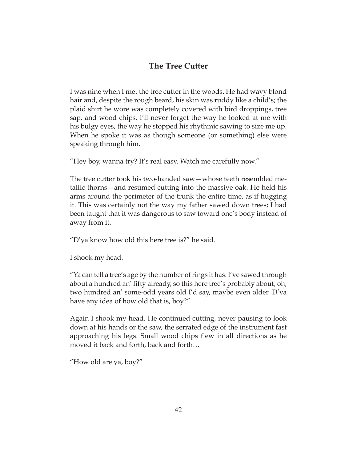# **The Tree Cutter**

I was nine when I met the tree cutter in the woods. He had wavy blond hair and, despite the rough beard, his skin was ruddy like a child's; the plaid shirt he wore was completely covered with bird droppings, tree sap, and wood chips. I'll never forget the way he looked at me with his bulgy eyes, the way he stopped his rhythmic sawing to size me up. When he spoke it was as though someone (or something) else were speaking through him.

"Hey boy, wanna try? It's real easy. Watch me carefully now."

The tree cutter took his two-handed saw—whose teeth resembled metallic thorns—and resumed cutting into the massive oak. He held his arms around the perimeter of the trunk the entire time, as if hugging it. This was certainly not the way my father sawed down trees; I had been taught that it was dangerous to saw toward one's body instead of away from it.

"D'ya know how old this here tree is?" he said.

I shook my head.

"Ya can tell a tree's age by the number of rings it has. I've sawed through about a hundred an' fifty already, so this here tree's probably about, oh, two hundred an' some-odd years old I'd say, maybe even older. D'ya have any idea of how old that is, boy?"

Again I shook my head. He continued cutting, never pausing to look down at his hands or the saw, the serrated edge of the instrument fast approaching his legs. Small wood chips flew in all directions as he moved it back and forth, back and forth…

"How old are ya, boy?"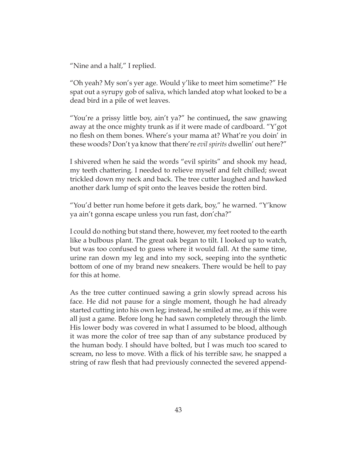"Nine and a half," I replied.

"Oh yeah? My son's yer age. Would y'like to meet him sometime?" He spat out a syrupy gob of saliva, which landed atop what looked to be a dead bird in a pile of wet leaves.

"You're a prissy little boy, ain't ya?" he continued**,** the saw gnawing away at the once mighty trunk as if it were made of cardboard. "Y'got no flesh on them bones. Where's your mama at? What're you doin' in these woods? Don't ya know that there're *evil spirits* dwellin' out here?"

I shivered when he said the words "evil spirits" and shook my head, my teeth chattering. I needed to relieve myself and felt chilled; sweat trickled down my neck and back. The tree cutter laughed and hawked another dark lump of spit onto the leaves beside the rotten bird.

"You'd better run home before it gets dark, boy," he warned. "Y'know ya ain't gonna escape unless you run fast, don'cha?"

I could do nothing but stand there, however, my feet rooted to the earth like a bulbous plant. The great oak began to tilt. I looked up to watch, but was too confused to guess where it would fall. At the same time, urine ran down my leg and into my sock, seeping into the synthetic bottom of one of my brand new sneakers. There would be hell to pay for this at home.

As the tree cutter continued sawing a grin slowly spread across his face. He did not pause for a single moment, though he had already started cutting into his own leg; instead, he smiled at me, as if this were all just a game. Before long he had sawn completely through the limb. His lower body was covered in what I assumed to be blood, although it was more the color of tree sap than of any substance produced by the human body. I should have bolted, but I was much too scared to scream, no less to move. With a flick of his terrible saw, he snapped a string of raw flesh that had previously connected the severed append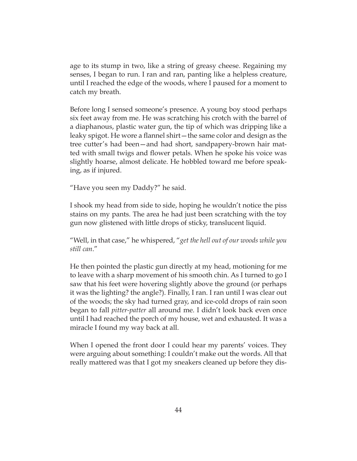age to its stump in two, like a string of greasy cheese. Regaining my senses, I began to run. I ran and ran, panting like a helpless creature, until I reached the edge of the woods, where I paused for a moment to catch my breath.

Before long I sensed someone's presence. A young boy stood perhaps six feet away from me. He was scratching his crotch with the barrel of a diaphanous, plastic water gun, the tip of which was dripping like a leaky spigot. He wore a flannel shirt—the same color and design as the tree cutter's had been—and had short, sandpapery-brown hair matted with small twigs and flower petals. When he spoke his voice was slightly hoarse, almost delicate. He hobbled toward me before speaking, as if injured.

"Have you seen my Daddy?" he said.

I shook my head from side to side, hoping he wouldn't notice the piss stains on my pants. The area he had just been scratching with the toy gun now glistened with little drops of sticky, translucent liquid.

"Well, in that case," he whispered, "*get the hell out of our woods while you still can*."

He then pointed the plastic gun directly at my head, motioning for me to leave with a sharp movement of his smooth chin. As I turned to go I saw that his feet were hovering slightly above the ground (or perhaps it was the lighting? the angle?). Finally, I ran. I ran until I was clear out of the woods; the sky had turned gray, and ice-cold drops of rain soon began to fall *pitter-patter* all around me. I didn't look back even once until I had reached the porch of my house, wet and exhausted. It was a miracle I found my way back at all.

When I opened the front door I could hear my parents' voices. They were arguing about something: I couldn't make out the words. All that really mattered was that I got my sneakers cleaned up before they dis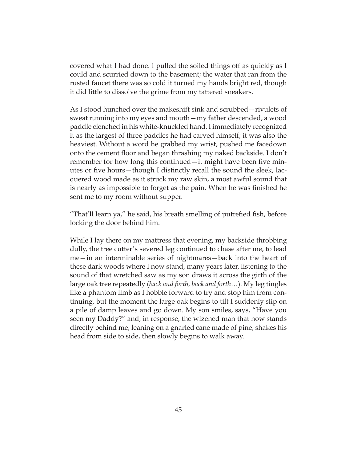covered what I had done. I pulled the soiled things off as quickly as I could and scurried down to the basement; the water that ran from the rusted faucet there was so cold it turned my hands bright red, though it did little to dissolve the grime from my tattered sneakers.

As I stood hunched over the makeshift sink and scrubbed—rivulets of sweat running into my eyes and mouth—my father descended, a wood paddle clenched in his white-knuckled hand. I immediately recognized it as the largest of three paddles he had carved himself; it was also the heaviest. Without a word he grabbed my wrist, pushed me facedown onto the cement floor and began thrashing my naked backside. I don't remember for how long this continued—it might have been five minutes or five hours—though I distinctly recall the sound the sleek, lacquered wood made as it struck my raw skin, a most awful sound that is nearly as impossible to forget as the pain. When he was finished he sent me to my room without supper.

"That'll learn ya," he said, his breath smelling of putrefied fish, before locking the door behind him.

While I lay there on my mattress that evening, my backside throbbing dully, the tree cutter's severed leg continued to chase after me, to lead me—in an interminable series of nightmares—back into the heart of these dark woods where I now stand, many years later, listening to the sound of that wretched saw as my son draws it across the girth of the large oak tree repeatedly (*back and forth, back and forth…*). My leg tingles like a phantom limb as I hobble forward to try and stop him from continuing, but the moment the large oak begins to tilt I suddenly slip on a pile of damp leaves and go down. My son smiles, says, "Have you seen my Daddy?" and, in response, the wizened man that now stands directly behind me, leaning on a gnarled cane made of pine, shakes his head from side to side, then slowly begins to walk away.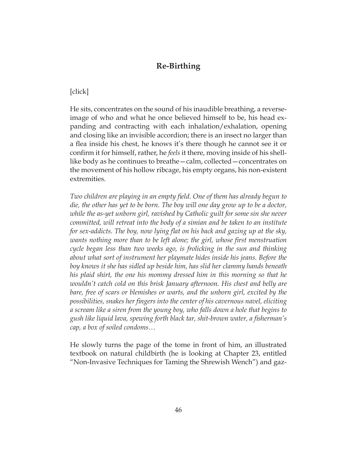# **Re-Birthing**

### [click]

He sits, concentrates on the sound of his inaudible breathing, a reverseimage of who and what he once believed himself to be, his head expanding and contracting with each inhalation/exhalation, opening and closing like an invisible accordion; there is an insect no larger than a flea inside his chest, he knows it's there though he cannot see it or confirm it for himself, rather, he *feels* it there, moving inside of his shelllike body as he continues to breathe—calm, collected—concentrates on the movement of his hollow ribcage, his empty organs, his non-existent extremities.

*Two children are playing in an empty field. One of them has already begun to*  die, the other has yet to be born. The boy will one day grow up to be a doctor, *while the as-yet unborn girl, ravished by Catholic guilt for some sin she never committed, will retreat into the body of a simian and be taken to an institute for sex-addicts. The boy, now lying flat on his back and gazing up at the sky,*  wants nothing more than to be left alone; the girl, whose first menstruation *cycle began less than two weeks ago, is frolicking in the sun and thinking about what sort of instrument her playmate hides inside his jeans. Before the boy knows it she has sidled up beside him, has slid her clammy hands beneath his plaid shirt, the one his mommy dressed him in this morning so that he wouldn't catch cold on this brisk January afternoon. His chest and belly are bare, free of scars or blemishes or warts, and the unborn girl, excited by the possibilities, snakes her fingers into the center of his cavernous navel, eliciting a scream like a siren from the young boy, who falls down a hole that begins to gush like liquid lava, spewing forth black tar, shit-brown water, a fisherman's cap, a box of soiled condoms…*

He slowly turns the page of the tome in front of him, an illustrated textbook on natural childbirth (he is looking at Chapter 23, entitled "Non-Invasive Techniques for Taming the Shrewish Wench") and gaz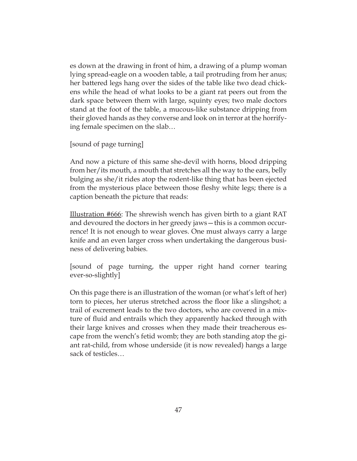es down at the drawing in front of him, a drawing of a plump woman lying spread-eagle on a wooden table, a tail protruding from her anus; her battered legs hang over the sides of the table like two dead chickens while the head of what looks to be a giant rat peers out from the dark space between them with large, squinty eyes; two male doctors stand at the foot of the table, a mucous-like substance dripping from their gloved hands as they converse and look on in terror at the horrifying female specimen on the slab…

[sound of page turning]

And now a picture of this same she-devil with horns, blood dripping from her/its mouth, a mouth that stretches all the way to the ears, belly bulging as she/it rides atop the rodent-like thing that has been ejected from the mysterious place between those fleshy white legs; there is a caption beneath the picture that reads:

Illustration #666: The shrewish wench has given birth to a giant RAT and devoured the doctors in her greedy jaws—this is a common occurrence! It is not enough to wear gloves. One must always carry a large knife and an even larger cross when undertaking the dangerous business of delivering babies.

[sound of page turning, the upper right hand corner tearing ever-so-slightly]

On this page there is an illustration of the woman (or what's left of her) torn to pieces, her uterus stretched across the floor like a slingshot; a trail of excrement leads to the two doctors, who are covered in a mixture of fluid and entrails which they apparently hacked through with their large knives and crosses when they made their treacherous escape from the wench's fetid womb; they are both standing atop the giant rat-child, from whose underside (it is now revealed) hangs a large sack of testicles…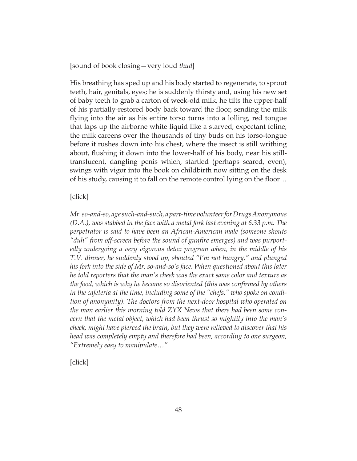[sound of book closing—very loud *thud*]

His breathing has sped up and his body started to regenerate, to sprout teeth, hair, genitals, eyes; he is suddenly thirsty and, using his new set of baby teeth to grab a carton of week-old milk, he tilts the upper-half of his partially-restored body back toward the floor, sending the milk flying into the air as his entire torso turns into a lolling, red tongue that laps up the airborne white liquid like a starved, expectant feline; the milk careens over the thousands of tiny buds on his torso-tongue before it rushes down into his chest, where the insect is still writhing about, flushing it down into the lower-half of his body, near his stilltranslucent, dangling penis which, startled (perhaps scared, even), swings with vigor into the book on childbirth now sitting on the desk of his study, causing it to fall on the remote control lying on the floor…

### [click]

*Mr. so-and-so, age such-and-such, a part-time volunteer for Drugs Anonymous (D.A.), was stabbed in the face with a metal fork last evening at 6:33 p.m. The perpetrator is said to have been an African-American male (someone shouts "duh" from off-screen before the sound of gunfire emerges) and was purportedly undergoing a very vigorous detox program when, in the middle of his T.V. dinner, he suddenly stood up, shouted "I'm not hungry," and plunged his fork into the side of Mr. so-and-so's face. When questioned about this later he told reporters that the man's cheek was the exact same color and texture as the food, which is why he became so disoriented (this was confirmed by others in the cafeteria at the time, including some of the "chefs," who spoke on condition of anonymity). The doctors from the next-door hospital who operated on the man earlier this morning told ZYX News that there had been some concern that the metal object, which had been thrust so mightily into the man's cheek, might have pierced the brain, but they were relieved to discover that his head was completely empty and therefore had been, according to one surgeon, "Extremely easy to manipulate…"*

[click]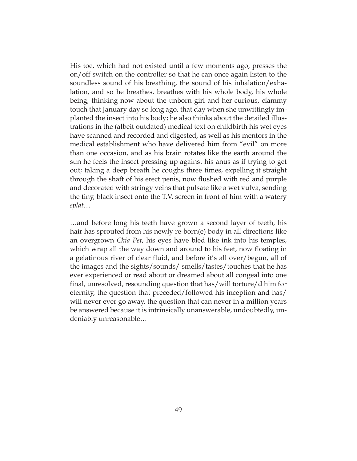His toe, which had not existed until a few moments ago, presses the on/off switch on the controller so that he can once again listen to the soundless sound of his breathing, the sound of his inhalation/exhalation, and so he breathes, breathes with his whole body, his whole being, thinking now about the unborn girl and her curious, clammy touch that January day so long ago, that day when she unwittingly implanted the insect into his body; he also thinks about the detailed illustrations in the (albeit outdated) medical text on childbirth his wet eyes have scanned and recorded and digested, as well as his mentors in the medical establishment who have delivered him from "evil" on more than one occasion, and as his brain rotates like the earth around the sun he feels the insect pressing up against his anus as if trying to get out; taking a deep breath he coughs three times, expelling it straight through the shaft of his erect penis, now flushed with red and purple and decorated with stringy veins that pulsate like a wet vulva, sending the tiny, black insect onto the T.V. screen in front of him with a watery *splat*…

…and before long his teeth have grown a second layer of teeth, his hair has sprouted from his newly re-born(e) body in all directions like an overgrown *Chia Pet*, his eyes have bled like ink into his temples, which wrap all the way down and around to his feet, now floating in a gelatinous river of clear fluid, and before it's all over/begun, all of the images and the sights/sounds/ smells/tastes/touches that he has ever experienced or read about or dreamed about all congeal into one final, unresolved, resounding question that has/will torture/d him for eternity, the question that preceded/followed his inception and has/ will never ever go away, the question that can never in a million years be answered because it is intrinsically unanswerable, undoubtedly, undeniably unreasonable…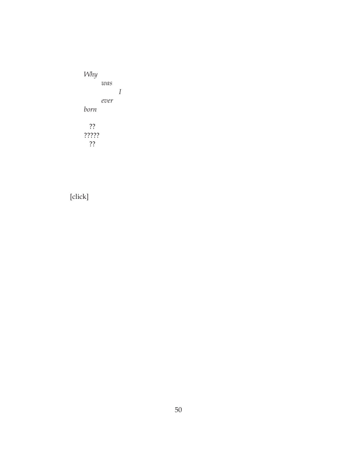*Why was I ever born* ?? ????? ??

# [click]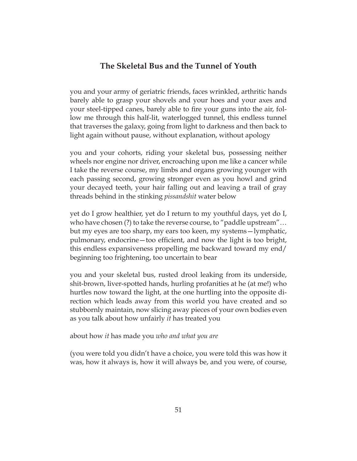### **The Skeletal Bus and the Tunnel of Youth**

you and your army of geriatric friends, faces wrinkled, arthritic hands barely able to grasp your shovels and your hoes and your axes and your steel-tipped canes, barely able to fire your guns into the air, follow me through this half-lit, waterlogged tunnel, this endless tunnel that traverses the galaxy, going from light to darkness and then back to light again without pause, without explanation, without apology

you and your cohorts, riding your skeletal bus, possessing neither wheels nor engine nor driver, encroaching upon me like a cancer while I take the reverse course, my limbs and organs growing younger with each passing second, growing stronger even as you howl and grind your decayed teeth, your hair falling out and leaving a trail of gray threads behind in the stinking *pissandshit* water below

yet do I grow healthier, yet do I return to my youthful days, yet do I, who have chosen (?) to take the reverse course, to "paddle upstream"… but my eyes are too sharp, my ears too keen, my systems—lymphatic, pulmonary, endocrine—too efficient, and now the light is too bright, this endless expansiveness propelling me backward toward my end/ beginning too frightening, too uncertain to bear

you and your skeletal bus, rusted drool leaking from its underside, shit-brown, liver-spotted hands, hurling profanities at he (at me!) who hurtles now toward the light, at the one hurtling into the opposite direction which leads away from this world you have created and so stubbornly maintain, now slicing away pieces of your own bodies even as you talk about how unfairly *it* has treated you

about how *it* has made you *who and what you are*

(you were told you didn't have a choice, you were told this was how it was, how it always is, how it will always be, and you were, of course,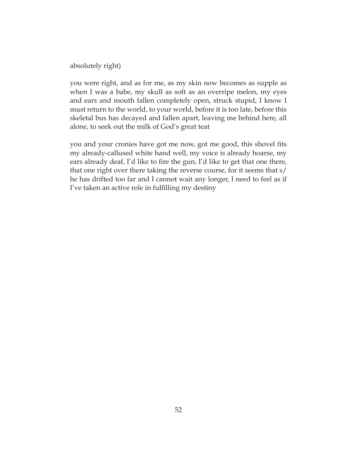absolutely right)

you were right, and as for me, as my skin now becomes as supple as when I was a babe, my skull as soft as an overripe melon, my eyes and ears and mouth fallen completely open, struck stupid, I know I must return to the world, to your world, before it is too late, before this skeletal bus has decayed and fallen apart, leaving me behind here, all alone, to seek out the milk of God's great teat

you and your cronies have got me now, got me good, this shovel fits my already-callused white hand well, my voice is already hoarse, my ears already deaf, I'd like to fire the gun, I'd like to get that one there, that one right over there taking the reverse course, for it seems that s/ he has drifted too far and I cannot wait any longer, I need to feel as if I've taken an active role in fulfilling my destiny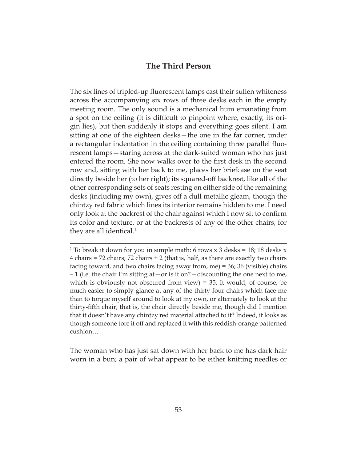# **The Third Person**

The six lines of tripled-up fluorescent lamps cast their sullen whiteness across the accompanying six rows of three desks each in the empty meeting room. The only sound is a mechanical hum emanating from a spot on the ceiling (it is difficult to pinpoint where, exactly, its origin lies), but then suddenly it stops and everything goes silent. I am sitting at one of the eighteen desks—the one in the far corner, under a rectangular indentation in the ceiling containing three parallel fluorescent lamps—staring across at the dark-suited woman who has just entered the room. She now walks over to the first desk in the second row and, sitting with her back to me, places her briefcase on the seat directly beside her (to her right); its squared-off backrest, like all of the other corresponding sets of seats resting on either side of the remaining desks (including my own), gives off a dull metallic gleam, though the chintzy red fabric which lines its interior remains hidden to me. I need only look at the backrest of the chair against which I now sit to confirm its color and texture, or at the backrests of any of the other chairs, for they are all identical. $1$ 

The woman who has just sat down with her back to me has dark hair worn in a bun; a pair of what appear to be either knitting needles or

<sup>&</sup>lt;sup>1</sup> To break it down for you in simple math: 6 rows x 3 desks = 18; 18 desks x 4 chairs = 72 chairs; 72 chairs  $\div$  2 (that is, half, as there are exactly two chairs facing toward, and two chairs facing away from, me) = 36; 36 (visible) chairs – 1 (i.e. the chair I'm sitting at—or is it on?—discounting the one next to me, which is obviously not obscured from view) =  $35$ . It would, of course, be much easier to simply glance at any of the thirty-four chairs which face me than to torque myself around to look at my own, or alternately to look at the thirty-fifth chair; that is, the chair directly beside me, though did I mention that it doesn't have any chintzy red material attached to it? Indeed, it looks as though someone tore it off and replaced it with this reddish-orange patterned cushion…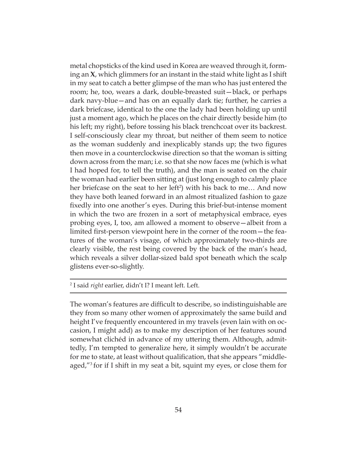metal chopsticks of the kind used in Korea are weaved through it, forming an **X**, which glimmers for an instant in the staid white light as I shift in my seat to catch a better glimpse of the man who has just entered the room; he, too, wears a dark, double-breasted suit—black, or perhaps dark navy-blue—and has on an equally dark tie; further, he carries a dark briefcase, identical to the one the lady had been holding up until just a moment ago, which he places on the chair directly beside him (to his left; my right), before tossing his black trenchcoat over its backrest. I self-consciously clear my throat, but neither of them seem to notice as the woman suddenly and inexplicably stands up; the two figures then move in a counterclockwise direction so that the woman is sitting down across from the man; i.e. so that she now faces me (which is what I had hoped for, to tell the truth), and the man is seated on the chair the woman had earlier been sitting at (just long enough to calmly place her briefcase on the seat to her left<sup>2</sup>) with his back to me... And now they have both leaned forward in an almost ritualized fashion to gaze fixedly into one another's eyes. During this brief-but-intense moment in which the two are frozen in a sort of metaphysical embrace, eyes probing eyes, I, too, am allowed a moment to observe—albeit from a limited first-person viewpoint here in the corner of the room—the features of the woman's visage, of which approximately two-thirds are clearly visible, the rest being covered by the back of the man's head, which reveals a silver dollar-sized bald spot beneath which the scalp glistens ever-so-slightly.

2 I said *right* earlier, didn't I? I meant left. Left.

The woman's features are difficult to describe, so indistinguishable are they from so many other women of approximately the same build and height I've frequently encountered in my travels (even lain with on occasion, I might add) as to make my description of her features sound somewhat clichéd in advance of my uttering them. Although, admittedly, I'm tempted to generalize here, it simply wouldn't be accurate for me to state, at least without qualification, that she appears "middleaged,"3 for if I shift in my seat a bit, squint my eyes, or close them for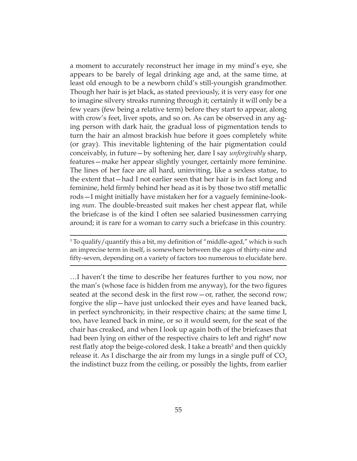a moment to accurately reconstruct her image in my mind's eye, she appears to be barely of legal drinking age and, at the same time, at least old enough to be a newborn child's still-youngish grandmother. Though her hair is jet black, as stated previously, it is very easy for one to imagine silvery streaks running through it; certainly it will only be a few years (few being a relative term) before they start to appear, along with crow's feet, liver spots, and so on. As can be observed in any aging person with dark hair, the gradual loss of pigmentation tends to turn the hair an almost brackish hue before it goes completely white (or gray). This inevitable lightening of the hair pigmentation could conceivably, in future—by softening her, dare I say *unforgivably* sharp, features—make her appear slightly younger, certainly more feminine. The lines of her face are all hard, uninviting, like a sexless statue, to the extent that—had I not earlier seen that her hair is in fact long and feminine, held firmly behind her head as it is by those two stiff metallic rods—I might initially have mistaken her for a vaguely feminine-looking *man*. The double-breasted suit makes her chest appear flat, while the briefcase is of the kind I often see salaried businessmen carrying around; it is rare for a woman to carry such a briefcase in this country.

 $3$  To qualify/quantify this a bit, my definition of "middle-aged," which is such an imprecise term in itself, is somewhere between the ages of thirty-nine and fifty-seven, depending on a variety of factors too numerous to elucidate here.

…I haven't the time to describe her features further to you now, nor the man's (whose face is hidden from me anyway), for the two figures seated at the second desk in the first row—or, rather, the second row; forgive the slip—have just unlocked their eyes and have leaned back, in perfect synchronicity, in their respective chairs; at the same time I, too, have leaned back in mine, or so it would seem, for the seat of the chair has creaked, and when I look up again both of the briefcases that had been lying on either of the respective chairs to left and right<sup>4</sup> now rest flatly atop the beige-colored desk. I take a breath<sup>5</sup> and then quickly release it. As I discharge the air from my lungs in a single puff of  $CO<sub>2</sub>$ the indistinct buzz from the ceiling, or possibly the lights, from earlier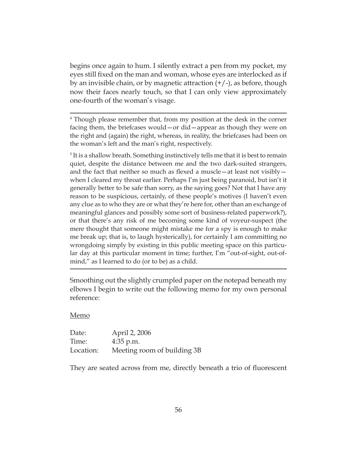begins once again to hum. I silently extract a pen from my pocket, my eyes still fixed on the man and woman, whose eyes are interlocked as if by an invisible chain, or by magnetic attraction  $(+/-)$ , as before, though now their faces nearly touch, so that I can only view approximately one-fourth of the woman's visage.

<sup>4</sup> Though please remember that, from my position at the desk in the corner facing them, the briefcases would—or did—appear as though they were on the right and (again) the right, whereas, in reality, the briefcases had been on the woman's left and the man's right, respectively.

<sup>5</sup> It is a shallow breath. Something instinctively tells me that it is best to remain quiet, despite the distance between me and the two dark-suited strangers, and the fact that neither so much as flexed a muscle—at least not visibly when I cleared my throat earlier. Perhaps I'm just being paranoid, but isn't it generally better to be safe than sorry, as the saying goes? Not that I have any reason to be suspicious, certainly, of these people's motives (I haven't even any clue as to who they are or what they're here for, other than an exchange of meaningful glances and possibly some sort of business-related paperwork?), or that there's any risk of me becoming some kind of voyeur-suspect (the mere thought that someone might mistake me for a spy is enough to make me break up; that is, to laugh hysterically), for certainly I am committing no wrongdoing simply by existing in this public meeting space on this particular day at this particular moment in time; further, I'm "out-of-sight, out-ofmind," as I learned to do (or to be) as a child.

Smoothing out the slightly crumpled paper on the notepad beneath my elbows I begin to write out the following memo for my own personal reference:

#### Memo

| Date:     | April 2, 2006               |
|-----------|-----------------------------|
| Time:     | $4:35$ p.m.                 |
| Location: | Meeting room of building 3B |

They are seated across from me, directly beneath a trio of fluorescent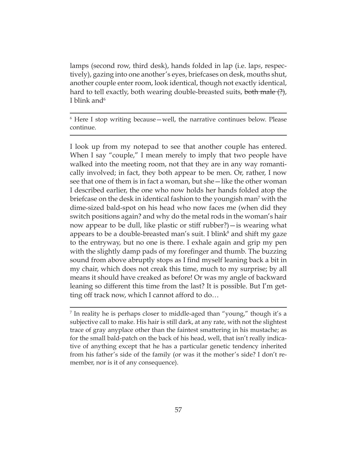lamps (second row, third desk), hands folded in lap (i.e. lap*s*, respectively), gazing into one another's eyes, briefcases on desk, mouths shut, another couple enter room, look identical, though not exactly identical, hard to tell exactly, both wearing double-breasted suits, <del>both male (?)</del>, I blink and  $6$ 

6 Here I stop writing because—well, the narrative continues below. Please continue.

I look up from my notepad to see that another couple has entered. When I say "couple," I mean merely to imply that two people have walked into the meeting room, not that they are in any way romantically involved; in fact, they both appear to be men. Or, rather, I now see that one of them is in fact a woman, but she—like the other woman I described earlier, the one who now holds her hands folded atop the briefcase on the desk in identical fashion to the youngish man<sup>7</sup> with the dime-sized bald-spot on his head who now faces me (when did they switch positions again? and why do the metal rods in the woman's hair now appear to be dull, like plastic or stiff rubber?)—is wearing what appears to be a double-breasted man's suit. I blink $^8$  and shift my gaze to the entryway, but no one is there. I exhale again and grip my pen with the slightly damp pads of my forefinger and thumb. The buzzing sound from above abruptly stops as I find myself leaning back a bit in my chair, which does not creak this time, much to my surprise; by all means it should have creaked as before! Or was my angle of backward leaning so different this time from the last? It is possible. But I'm getting off track now, which I cannot afford to do…

<sup>&</sup>lt;sup>7</sup> In reality he is perhaps closer to middle-aged than "young," though it's a subjective call to make. His hair is still dark, at any rate, with not the slightest trace of gray anyplace other than the faintest smattering in his mustache; as for the small bald-patch on the back of his head, well, that isn't really indicative of anything except that he has a particular genetic tendency inherited from his father's side of the family (or was it the mother's side? I don't remember, nor is it of any consequence).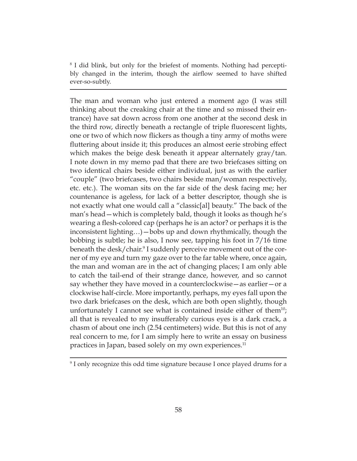8 I did blink, but only for the briefest of moments. Nothing had perceptibly changed in the interim, though the airflow seemed to have shifted ever-so-subtly.

The man and woman who just entered a moment ago (I was still thinking about the creaking chair at the time and so missed their entrance) have sat down across from one another at the second desk in the third row, directly beneath a rectangle of triple fluorescent lights, one or two of which now flickers as though a tiny army of moths were fluttering about inside it; this produces an almost eerie strobing effect which makes the beige desk beneath it appear alternately gray/tan. I note down in my memo pad that there are two briefcases sitting on two identical chairs beside either individual, just as with the earlier "couple" (two briefcases, two chairs beside man/woman respectively, etc. etc.). The woman sits on the far side of the desk facing me; her countenance is ageless, for lack of a better descriptor, though she is not exactly what one would call a "classic[al] beauty." The back of the man's head—which is completely bald, though it looks as though he's wearing a flesh-colored cap (perhaps he is an actor? or perhaps it is the inconsistent lighting…)—bobs up and down rhythmically, though the bobbing is subtle; he is also, I now see, tapping his foot in 7/16 time beneath the desk/chair.<sup>9</sup> I suddenly perceive movement out of the corner of my eye and turn my gaze over to the far table where, once again, the man and woman are in the act of changing places; I am only able to catch the tail-end of their strange dance, however, and so cannot say whether they have moved in a counterclockwise—as earlier—or a clockwise half-circle. More importantly, perhaps, my eyes fall upon the two dark briefcases on the desk, which are both open slightly, though unfortunately I cannot see what is contained inside either of them<sup>10</sup>; all that is revealed to my insufferably curious eyes is a dark crack, a chasm of about one inch (2.54 centimeters) wide. But this is not of any real concern to me, for I am simply here to write an essay on business practices in Japan, based solely on my own experiences.<sup>11</sup>

<sup>9</sup> I only recognize this odd time signature because I once played drums for a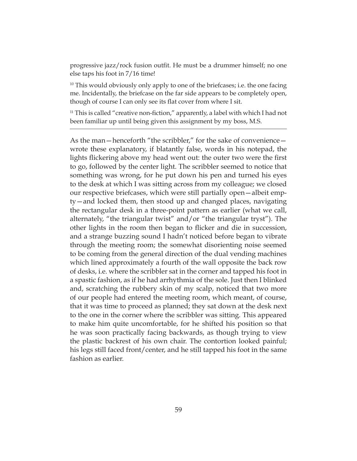progressive jazz/rock fusion outfit. He must be a drummer himself; no one else taps his foot in 7/16 time!

 $10$  This would obviously only apply to one of the briefcases; i.e. the one facing me. Incidentally, the briefcase on the far side appears to be completely open, though of course I can only see its flat cover from where I sit.

 $11$  This is called "creative non-fiction," apparently, a label with which I had not been familiar up until being given this assignment by my boss, M.S.

As the man—henceforth "the scribbler," for the sake of convenience wrote these explanatory, if blatantly false, words in his notepad, the lights flickering above my head went out: the outer two were the first to go, followed by the center light. The scribbler seemed to notice that something was wrong, for he put down his pen and turned his eyes to the desk at which I was sitting across from my colleague; we closed our respective briefcases, which were still partially open—albeit empty—and locked them, then stood up and changed places, navigating the rectangular desk in a three-point pattern as earlier (what we call, alternately, "the triangular twist" and/or "the triangular tryst"). The other lights in the room then began to flicker and die in succession, and a strange buzzing sound I hadn't noticed before began to vibrate through the meeting room; the somewhat disorienting noise seemed to be coming from the general direction of the dual vending machines which lined approximately a fourth of the wall opposite the back row of desks, i.e. where the scribbler sat in the corner and tapped his foot in a spastic fashion, as if he had arrhythmia of the sole. Just then I blinked and, scratching the rubbery skin of my scalp, noticed that two more of our people had entered the meeting room, which meant, of course, that it was time to proceed as planned; they sat down at the desk next to the one in the corner where the scribbler was sitting. This appeared to make him quite uncomfortable, for he shifted his position so that he was soon practically facing backwards, as though trying to view the plastic backrest of his own chair. The contortion looked painful; his legs still faced front/center, and he still tapped his foot in the same fashion as earlier.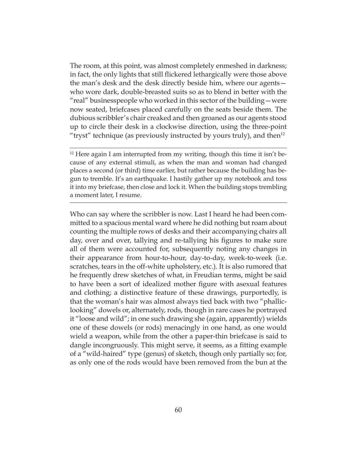The room, at this point, was almost completely enmeshed in darkness; in fact, the only lights that still flickered lethargically were those above the man's desk and the desk directly beside him, where our agents who wore dark, double-breasted suits so as to blend in better with the "real" businesspeople who worked in this sector of the building—were now seated, briefcases placed carefully on the seats beside them. The dubious scribbler's chair creaked and then groaned as our agents stood up to circle their desk in a clockwise direction, using the three-point "tryst" technique (as previously instructed by yours truly), and then<sup>12</sup>

 $12$  Here again I am interrupted from my writing, though this time it isn't because of any external stimuli, as when the man and woman had changed places a second (or third) time earlier, but rather because the building has begun to tremble. It's an earthquake. I hastily gather up my notebook and toss it into my briefcase, then close and lock it. When the building stops trembling a moment later, I resume.

Who can say where the scribbler is now. Last I heard he had been committed to a spacious mental ward where he did nothing but roam about counting the multiple rows of desks and their accompanying chairs all day, over and over, tallying and re-tallying his figures to make sure all of them were accounted for, subsequently noting any changes in their appearance from hour-to-hour, day-to-day, week-to-week (i.e. scratches, tears in the off-white upholstery, etc.). It is also rumored that he frequently drew sketches of what, in Freudian terms, might be said to have been a sort of idealized mother figure with asexual features and clothing; a distinctive feature of these drawings, purportedly, is that the woman's hair was almost always tied back with two "phalliclooking" dowels or, alternately, rods, though in rare cases he portrayed it "loose and wild"; in one such drawing she (again, apparently) wields one of these dowels (or rods) menacingly in one hand, as one would wield a weapon, while from the other a paper-thin briefcase is said to dangle incongruously. This might serve, it seems, as a fitting example of a "wild-haired" type (genus) of sketch, though only partially so; for, as only one of the rods would have been removed from the bun at the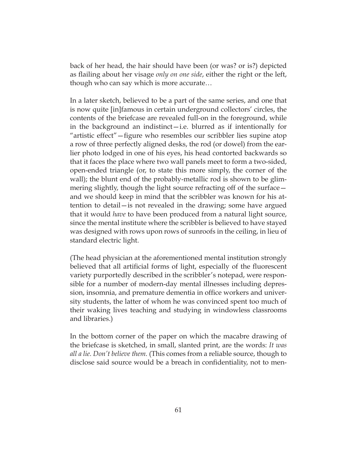back of her head, the hair should have been (or was? or is?) depicted as flailing about her visage *only on one side*, either the right or the left, though who can say which is more accurate…

In a later sketch, believed to be a part of the same series, and one that is now quite [in]famous in certain underground collectors' circles, the contents of the briefcase are revealed full-on in the foreground, while in the background an indistinct—i.e. blurred as if intentionally for "artistic effect"—figure who resembles our scribbler lies supine atop a row of three perfectly aligned desks, the rod (or dowel) from the earlier photo lodged in one of his eyes, his head contorted backwards so that it faces the place where two wall panels meet to form a two-sided, open-ended triangle (or, to state this more simply, the corner of the wall); the blunt end of the probably-metallic rod is shown to be glimmering slightly, though the light source refracting off of the surface and we should keep in mind that the scribbler was known for his attention to detail—is not revealed in the drawing; some have argued that it would *have* to have been produced from a natural light source, since the mental institute where the scribbler is believed to have stayed was designed with rows upon rows of sunroofs in the ceiling, in lieu of standard electric light.

(The head physician at the aforementioned mental institution strongly believed that all artificial forms of light, especially of the fluorescent variety purportedly described in the scribbler's notepad, were responsible for a number of modern-day mental illnesses including depression, insomnia, and premature dementia in office workers and university students, the latter of whom he was convinced spent too much of their waking lives teaching and studying in windowless classrooms and libraries.)

In the bottom corner of the paper on which the macabre drawing of the briefcase is sketched, in small, slanted print, are the words: *It was all a lie. Don't believe them.* (This comes from a reliable source, though to disclose said source would be a breach in confidentiality, not to men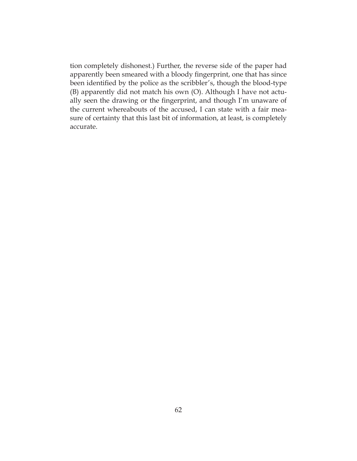tion completely dishonest.) Further, the reverse side of the paper had apparently been smeared with a bloody fingerprint, one that has since been identified by the police as the scribbler's, though the blood-type (B) apparently did not match his own (O). Although I have not actually seen the drawing or the fingerprint, and though I'm unaware of the current whereabouts of the accused, I can state with a fair measure of certainty that this last bit of information, at least, is completely accurate.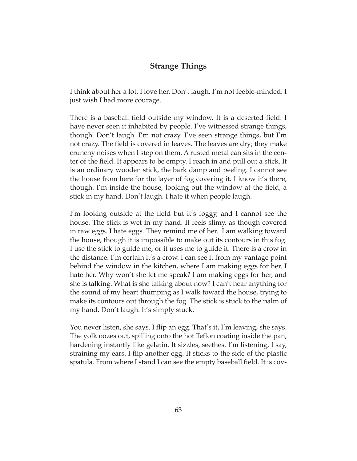# **Strange Things**

I think about her a lot. I love her. Don't laugh. I'm not feeble-minded. I just wish I had more courage.

There is a baseball field outside my window. It is a deserted field. I have never seen it inhabited by people. I've witnessed strange things, though. Don't laugh. I'm not crazy. I've seen strange things, but I'm not crazy. The field is covered in leaves. The leaves are dry; they make crunchy noises when I step on them. A rusted metal can sits in the center of the field. It appears to be empty. I reach in and pull out a stick. It is an ordinary wooden stick, the bark damp and peeling. I cannot see the house from here for the layer of fog covering it. I know it's there, though. I'm inside the house, looking out the window at the field, a stick in my hand. Don't laugh. I hate it when people laugh.

I'm looking outside at the field but it's foggy, and I cannot see the house. The stick is wet in my hand. It feels slimy, as though covered in raw eggs. I hate eggs. They remind me of her. I am walking toward the house, though it is impossible to make out its contours in this fog. I use the stick to guide me, or it uses me to guide it. There is a crow in the distance. I'm certain it's a crow. I can see it from my vantage point behind the window in the kitchen, where I am making eggs for her. I hate her. Why won't she let me speak? I am making eggs for her, and she is talking. What is she talking about now? I can't hear anything for the sound of my heart thumping as I walk toward the house, trying to make its contours out through the fog. The stick is stuck to the palm of my hand. Don't laugh. It's simply stuck.

You never listen, she says. I flip an egg. That's it, I'm leaving, she says. The yolk oozes out, spilling onto the hot Teflon coating inside the pan, hardening instantly like gelatin. It sizzles, seethes. I'm listening, I say, straining my ears. I flip another egg. It sticks to the side of the plastic spatula. From where I stand I can see the empty baseball field. It is cov-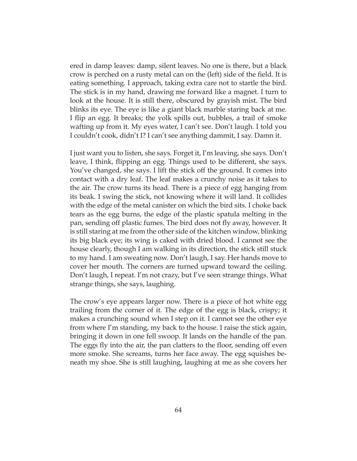ered in damp leaves: damp, silent leaves. No one is there, but a black crow is perched on a rusty metal can on the (left) side of the field. It is eating something. I approach, taking extra care not to startle the bird. The stick is in my hand, drawing me forward like a magnet. I turn to look at the house. It is still there, obscured by grayish mist. The bird blinks its eye. The eye is like a giant black marble staring back at me. I flip an egg. It breaks; the yolk spills out, bubbles, a trail of smoke wafting up from it. My eyes water, I can't see. Don't laugh. I told you I couldn't cook, didn't I? I can't see anything dammit, I say. Damn it.

I just want you to listen, she says. Forget it, I'm leaving, she says. Don't leave, I think, flipping an egg. Things used to be different, she says. You've changed, she says. I lift the stick off the ground. It comes into contact with a dry leaf. The leaf makes a crunchy noise as it takes to the air. The crow turns its head. There is a piece of egg hanging from its beak. I swing the stick, not knowing where it will land. It collides with the edge of the metal canister on which the bird sits. I choke back tears as the egg burns, the edge of the plastic spatula melting in the pan, sending off plastic fumes. The bird does not fly away, however. It is still staring at me from the other side of the kitchen window, blinking its big black eye; its wing is caked with dried blood. I cannot see the house clearly, though I am walking in its direction, the stick still stuck to my hand. I am sweating now. Don't laugh, I say. Her hands move to cover her mouth. The corners are turned upward toward the ceiling. Don't laugh, I repeat. I'm not crazy, but I've seen strange things. What strange things, she says, laughing.

The crow's eye appears larger now. There is a piece of hot white egg trailing from the corner of it. The edge of the egg is black, crispy; it makes a crunching sound when I step on it. I cannot see the other eye from where I'm standing, my back to the house. I raise the stick again, bringing it down in one fell swoop. It lands on the handle of the pan. The eggs fly into the air, the pan clatters to the floor, sending off even more smoke. She screams, turns her face away. The egg squishes beneath my shoe. She is still laughing, laughing at me as she covers her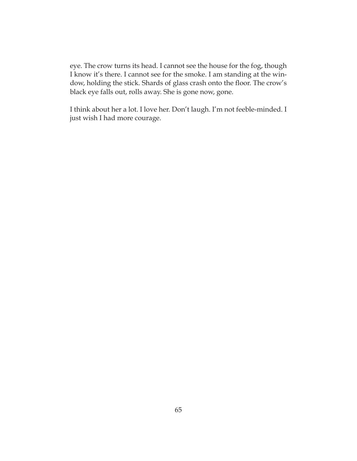eye. The crow turns its head. I cannot see the house for the fog, though I know it's there. I cannot see for the smoke. I am standing at the window, holding the stick. Shards of glass crash onto the floor. The crow's black eye falls out, rolls away. She is gone now, gone.

I think about her a lot. I love her. Don't laugh. I'm not feeble-minded. I just wish I had more courage.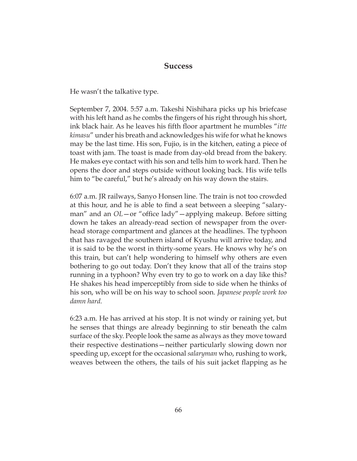### **Success**

He wasn't the talkative type.

September 7, 2004. 5:57 a.m. Takeshi Nishihara picks up his briefcase with his left hand as he combs the fingers of his right through his short, ink black hair. As he leaves his fifth floor apartment he mumbles "*itte kimasu*" under his breath and acknowledges his wife for what he knows may be the last time. His son, Fujio, is in the kitchen, eating a piece of toast with jam. The toast is made from day-old bread from the bakery. He makes eye contact with his son and tells him to work hard. Then he opens the door and steps outside without looking back. His wife tells him to "be careful," but he's already on his way down the stairs.

6:07 a.m. JR railways, Sanyo Honsen line. The train is not too crowded at this hour, and he is able to find a seat between a sleeping "salaryman" and an *OL*—or "office lady"—applying makeup. Before sitting down he takes an already-read section of newspaper from the overhead storage compartment and glances at the headlines. The typhoon that has ravaged the southern island of Kyushu will arrive today, and it is said to be the worst in thirty-some years. He knows why he's on this train, but can't help wondering to himself why others are even bothering to go out today. Don't they know that all of the trains stop running in a typhoon? Why even try to go to work on a day like this? He shakes his head imperceptibly from side to side when he thinks of his son, who will be on his way to school soon. *Japanese people work too damn hard.*

6:23 a.m. He has arrived at his stop. It is not windy or raining yet, but he senses that things are already beginning to stir beneath the calm surface of the sky. People look the same as always as they move toward their respective destinations—neither particularly slowing down nor speeding up, except for the occasional *salaryman* who, rushing to work, weaves between the others, the tails of his suit jacket flapping as he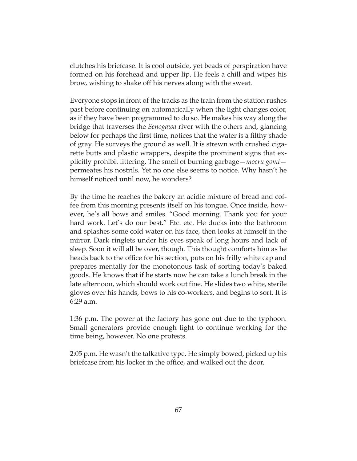clutches his briefcase. It is cool outside, yet beads of perspiration have formed on his forehead and upper lip. He feels a chill and wipes his brow, wishing to shake off his nerves along with the sweat.

Everyone stops in front of the tracks as the train from the station rushes past before continuing on automatically when the light changes color, as if they have been programmed to do so. He makes his way along the bridge that traverses the *Senogawa* river with the others and, glancing below for perhaps the first time, notices that the water is a filthy shade of gray. He surveys the ground as well. It is strewn with crushed cigarette butts and plastic wrappers, despite the prominent signs that explicitly prohibit littering. The smell of burning garbage—*moeru gomi* permeates his nostrils. Yet no one else seems to notice. Why hasn't he himself noticed until now, he wonders?

By the time he reaches the bakery an acidic mixture of bread and coffee from this morning presents itself on his tongue. Once inside, however, he's all bows and smiles. "Good morning. Thank you for your hard work. Let's do our best." Etc. etc. He ducks into the bathroom and splashes some cold water on his face, then looks at himself in the mirror. Dark ringlets under his eyes speak of long hours and lack of sleep. Soon it will all be over, though. This thought comforts him as he heads back to the office for his section, puts on his frilly white cap and prepares mentally for the monotonous task of sorting today's baked goods. He knows that if he starts now he can take a lunch break in the late afternoon, which should work out fine. He slides two white, sterile gloves over his hands, bows to his co-workers, and begins to sort. It is 6:29 a.m.

1:36 p.m. The power at the factory has gone out due to the typhoon. Small generators provide enough light to continue working for the time being, however. No one protests.

2:05 p.m. He wasn't the talkative type. He simply bowed, picked up his briefcase from his locker in the office, and walked out the door.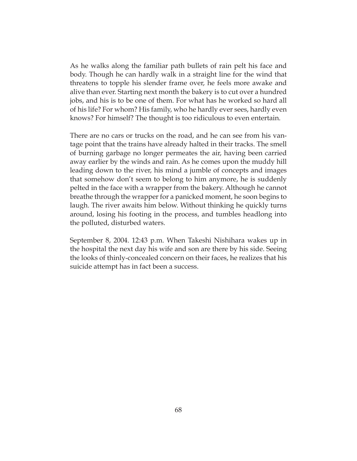As he walks along the familiar path bullets of rain pelt his face and body. Though he can hardly walk in a straight line for the wind that threatens to topple his slender frame over, he feels more awake and alive than ever. Starting next month the bakery is to cut over a hundred jobs, and his is to be one of them. For what has he worked so hard all of his life? For whom? His family, who he hardly ever sees, hardly even knows? For himself? The thought is too ridiculous to even entertain.

There are no cars or trucks on the road, and he can see from his vantage point that the trains have already halted in their tracks. The smell of burning garbage no longer permeates the air, having been carried away earlier by the winds and rain. As he comes upon the muddy hill leading down to the river, his mind a jumble of concepts and images that somehow don't seem to belong to him anymore, he is suddenly pelted in the face with a wrapper from the bakery. Although he cannot breathe through the wrapper for a panicked moment, he soon begins to laugh. The river awaits him below. Without thinking he quickly turns around, losing his footing in the process, and tumbles headlong into the polluted, disturbed waters.

September 8, 2004. 12:43 p.m. When Takeshi Nishihara wakes up in the hospital the next day his wife and son are there by his side. Seeing the looks of thinly-concealed concern on their faces, he realizes that his suicide attempt has in fact been a success.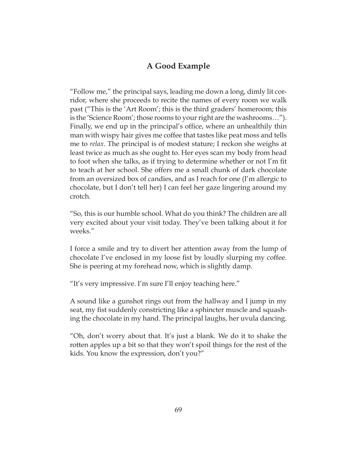# **A Good Example**

"Follow me," the principal says, leading me down a long, dimly lit corridor, where she proceeds to recite the names of every room we walk past ("This is the 'Art Room'; this is the third graders' homeroom; this is the 'Science Room'; those rooms to your right are the washrooms…"). Finally, we end up in the principal's office, where an unhealthily thin man with wispy hair gives me coffee that tastes like peat moss and tells me to *relax*. The principal is of modest stature; I reckon she weighs at least twice as much as she ought to. Her eyes scan my body from head to foot when she talks, as if trying to determine whether or not I'm fit to teach at her school. She offers me a small chunk of dark chocolate from an oversized box of candies, and as I reach for one (I'm allergic to chocolate, but I don't tell her) I can feel her gaze lingering around my crotch.

"So, this is our humble school. What do you think? The children are all very excited about your visit today. They've been talking about it for weeks."

I force a smile and try to divert her attention away from the lump of chocolate I've enclosed in my loose fist by loudly slurping my coffee. She is peering at my forehead now, which is slightly damp.

"It's very impressive. I'm sure I'll enjoy teaching here."

A sound like a gunshot rings out from the hallway and I jump in my seat, my fist suddenly constricting like a sphincter muscle and squashing the chocolate in my hand. The principal laughs, her uvula dancing.

"Oh, don't worry about that. It's just a blank. We do it to shake the rotten apples up a bit so that they won't spoil things for the rest of the kids. You know the expression, don't you?"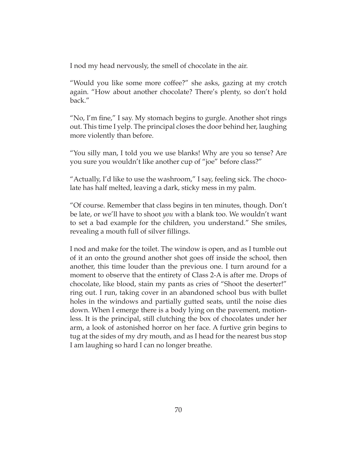I nod my head nervously, the smell of chocolate in the air.

"Would you like some more coffee?" she asks, gazing at my crotch again. "How about another chocolate? There's plenty, so don't hold back."

"No, I'm fine," I say. My stomach begins to gurgle. Another shot rings out. This time I yelp. The principal closes the door behind her, laughing more violently than before.

"You silly man, I told you we use blanks! Why are you so tense? Are you sure you wouldn't like another cup of "joe" before class?"

"Actually, I'd like to use the washroom," I say, feeling sick. The chocolate has half melted, leaving a dark, sticky mess in my palm.

"Of course. Remember that class begins in ten minutes, though. Don't be late, or we'll have to shoot *you* with a blank too. We wouldn't want to set a bad example for the children, you understand." She smiles, revealing a mouth full of silver fillings.

I nod and make for the toilet. The window is open, and as I tumble out of it an onto the ground another shot goes off inside the school, then another, this time louder than the previous one. I turn around for a moment to observe that the entirety of Class 2-A is after me. Drops of chocolate, like blood, stain my pants as cries of "Shoot the deserter!" ring out. I run, taking cover in an abandoned school bus with bullet holes in the windows and partially gutted seats, until the noise dies down. When I emerge there is a body lying on the pavement, motionless. It is the principal, still clutching the box of chocolates under her arm, a look of astonished horror on her face. A furtive grin begins to tug at the sides of my dry mouth, and as I head for the nearest bus stop I am laughing so hard I can no longer breathe.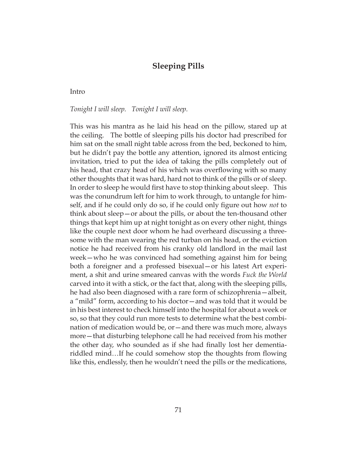# **Sleeping Pills**

Intro

*Tonight I will sleep. Tonight I will sleep.*

This was his mantra as he laid his head on the pillow, stared up at the ceiling. The bottle of sleeping pills his doctor had prescribed for him sat on the small night table across from the bed, beckoned to him, but he didn't pay the bottle any attention, ignored its almost enticing invitation, tried to put the idea of taking the pills completely out of his head, that crazy head of his which was overflowing with so many other thoughts that it was hard, hard not to think of the pills or of sleep. In order to sleep he would first have to stop thinking about sleep. This was the conundrum left for him to work through, to untangle for himself, and if he could only do so, if he could only figure out how *not* to think about sleep—or about the pills, or about the ten-thousand other things that kept him up at night tonight as on every other night, things like the couple next door whom he had overheard discussing a threesome with the man wearing the red turban on his head, or the eviction notice he had received from his cranky old landlord in the mail last week—who he was convinced had something against him for being both a foreigner and a professed bisexual—or his latest Art experiment, a shit and urine smeared canvas with the words *Fuck the World* carved into it with a stick, or the fact that, along with the sleeping pills, he had also been diagnosed with a rare form of schizophrenia—albeit, a "mild" form, according to his doctor—and was told that it would be in his best interest to check himself into the hospital for about a week or so, so that they could run more tests to determine what the best combination of medication would be, or—and there was much more, always more—that disturbing telephone call he had received from his mother the other day, who sounded as if she had finally lost her dementiariddled mind…If he could somehow stop the thoughts from flowing like this, endlessly, then he wouldn't need the pills or the medications,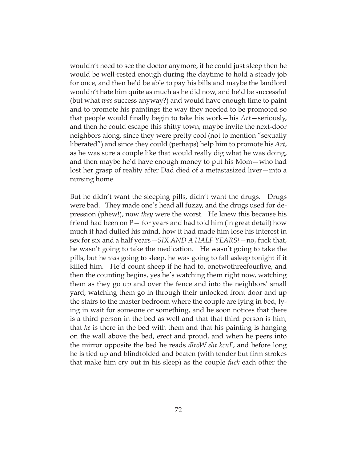wouldn't need to see the doctor anymore, if he could just sleep then he would be well-rested enough during the daytime to hold a steady job for once, and then he'd be able to pay his bills and maybe the landlord wouldn't hate him quite as much as he did now, and he'd be successful (but what *was* success anyway?) and would have enough time to paint and to promote his paintings the way they needed to be promoted so that people would finally begin to take his work—his *Art*—seriously, and then he could escape this shitty town, maybe invite the next-door neighbors along, since they were pretty cool (not to mention "sexually liberated") and since they could (perhaps) help him to promote his *Art*, as he was sure a couple like that would really dig what he was doing, and then maybe he'd have enough money to put his Mom—who had lost her grasp of reality after Dad died of a metastasized liver—into a nursing home.

But he didn't want the sleeping pills, didn't want the drugs. Drugs were bad. They made one's head all fuzzy, and the drugs used for depression (phew!), now *they* were the worst. He knew this because his friend had been on  $P-$  for years and had told him (in great detail) how much it had dulled his mind, how it had made him lose his interest in sex for six and a half years—*SIX AND A HALF YEARS!*—no, fuck that, he wasn't going to take the medication. He wasn't going to take the pills, but he *was* going to sleep, he was going to fall asleep tonight if it killed him. He'd count sheep if he had to, onetwothreefourfive, and then the counting begins, yes he's watching them right now, watching them as they go up and over the fence and into the neighbors' small yard, watching them go in through their unlocked front door and up the stairs to the master bedroom where the couple are lying in bed, lying in wait for someone or something, and he soon notices that there is a third person in the bed as well and that that third person is him, that *he* is there in the bed with them and that his painting is hanging on the wall above the bed, erect and proud, and when he peers into the mirror opposite the bed he reads *dlroW eht kcuF*, and before long he is tied up and blindfolded and beaten (with tender but firm strokes that make him cry out in his sleep) as the couple *fuck* each other the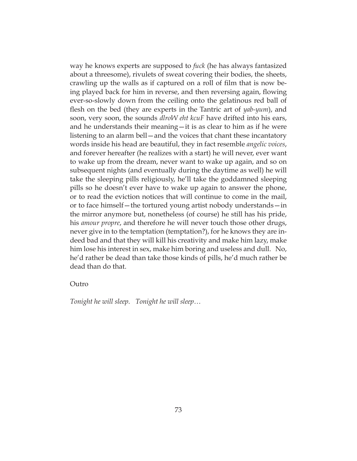way he knows experts are supposed to *fuck* (he has always fantasized about a threesome), rivulets of sweat covering their bodies, the sheets, crawling up the walls as if captured on a roll of film that is now being played back for him in reverse, and then reversing again, flowing ever-so-slowly down from the ceiling onto the gelatinous red ball of flesh on the bed (they are experts in the Tantric art of *yab-yum*), and soon, very soon, the sounds *dlroW eht kcuF* have drifted into his ears, and he understands their meaning—it is as clear to him as if he were listening to an alarm bell—and the voices that chant these incantatory words inside his head are beautiful, they in fact resemble *angelic voices*, and forever hereafter (he realizes with a start) he will never, ever want to wake up from the dream, never want to wake up again, and so on subsequent nights (and eventually during the daytime as well) he will take the sleeping pills religiously, he'll take the goddamned sleeping pills so he doesn't ever have to wake up again to answer the phone, or to read the eviction notices that will continue to come in the mail, or to face himself—the tortured young artist nobody understands—in the mirror anymore but, nonetheless (of course) he still has his pride, his *amour propre*, and therefore he will never touch those other drugs, never give in to the temptation (temptation?), for he knows they are indeed bad and that they will kill his creativity and make him lazy, make him lose his interest in sex, make him boring and useless and dull. No, he'd rather be dead than take those kinds of pills, he'd much rather be dead than do that.

#### Outro

*Tonight he will sleep. Tonight he will sleep…*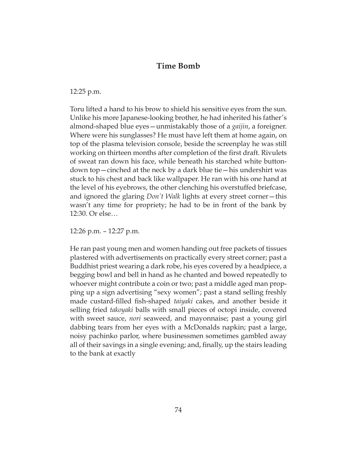# **Time Bomb**

12:25 p.m.

Toru lifted a hand to his brow to shield his sensitive eyes from the sun. Unlike his more Japanese-looking brother, he had inherited his father's almond-shaped blue eyes—unmistakably those of a *gaijin*, a foreigner. Where were his sunglasses? He must have left them at home again, on top of the plasma television console, beside the screenplay he was still working on thirteen months after completion of the first draft. Rivulets of sweat ran down his face, while beneath his starched white buttondown top—cinched at the neck by a dark blue tie—his undershirt was stuck to his chest and back like wallpaper. He ran with his one hand at the level of his eyebrows, the other clenching his overstuffed briefcase, and ignored the glaring *Don't Walk* lights at every street corner—this wasn't any time for propriety; he had to be in front of the bank by 12:30. Or else…

12:26 p.m. – 12:27 p.m.

He ran past young men and women handing out free packets of tissues plastered with advertisements on practically every street corner; past a Buddhist priest wearing a dark robe, his eyes covered by a headpiece, a begging bowl and bell in hand as he chanted and bowed repeatedly to whoever might contribute a coin or two; past a middle aged man propping up a sign advertising "sexy women"; past a stand selling freshly made custard-filled fish-shaped *taiyaki* cakes, and another beside it selling fried *takoyaki* balls with small pieces of octopi inside, covered with sweet sauce, *nori* seaweed, and mayonnaise; past a young girl dabbing tears from her eyes with a McDonalds napkin; past a large, noisy pachinko parlor, where businessmen sometimes gambled away all of their savings in a single evening; and, finally, up the stairs leading to the bank at exactly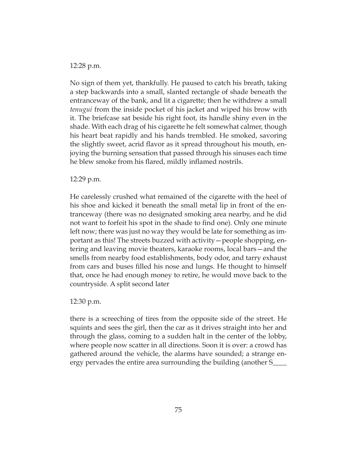#### 12:28 p.m.

No sign of them yet, thankfully. He paused to catch his breath, taking a step backwards into a small, slanted rectangle of shade beneath the entranceway of the bank, and lit a cigarette; then he withdrew a small *tenugui* from the inside pocket of his jacket and wiped his brow with it. The briefcase sat beside his right foot, its handle shiny even in the shade. With each drag of his cigarette he felt somewhat calmer, though his heart beat rapidly and his hands trembled. He smoked, savoring the slightly sweet, acrid flavor as it spread throughout his mouth, enjoying the burning sensation that passed through his sinuses each time he blew smoke from his flared, mildly inflamed nostrils.

#### 12:29 p.m.

He carelessly crushed what remained of the cigarette with the heel of his shoe and kicked it beneath the small metal lip in front of the entranceway (there was no designated smoking area nearby, and he did not want to forfeit his spot in the shade to find one). Only one minute left now; there was just no way they would be late for something as important as this! The streets buzzed with activity—people shopping, entering and leaving movie theaters, karaoke rooms, local bars—and the smells from nearby food establishments, body odor, and tarry exhaust from cars and buses filled his nose and lungs. He thought to himself that, once he had enough money to retire, he would move back to the countryside. A split second later

#### 12:30 p.m.

there is a screeching of tires from the opposite side of the street. He squints and sees the girl, then the car as it drives straight into her and through the glass, coming to a sudden halt in the center of the lobby, where people now scatter in all directions. Soon it is over: a crowd has gathered around the vehicle, the alarms have sounded; a strange energy pervades the entire area surrounding the building (another S\_\_\_\_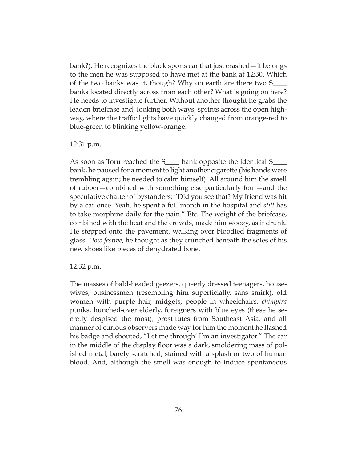bank?). He recognizes the black sports car that just crashed—it belongs to the men he was supposed to have met at the bank at 12:30. Which of the two banks was it, though? Why on earth are there two S\_\_\_\_ banks located directly across from each other? What is going on here? He needs to investigate further. Without another thought he grabs the leaden briefcase and, looking both ways, sprints across the open highway, where the traffic lights have quickly changed from orange-red to blue-green to blinking yellow-orange.

#### 12:31 p.m.

As soon as Toru reached the S<sub>\_\_\_\_\_</sub> bank opposite the identical S\_ bank, he paused for a moment to light another cigarette (his hands were trembling again; he needed to calm himself). All around him the smell of rubber—combined with something else particularly foul—and the speculative chatter of bystanders: "Did you see that? My friend was hit by a car once. Yeah, he spent a full month in the hospital and *still* has to take morphine daily for the pain." Etc. The weight of the briefcase, combined with the heat and the crowds, made him woozy, as if drunk. He stepped onto the pavement, walking over bloodied fragments of glass. *How festive*, he thought as they crunched beneath the soles of his new shoes like pieces of dehydrated bone.

#### 12:32 p.m.

The masses of bald-headed geezers, queerly dressed teenagers, housewives, businessmen (resembling him superficially, sans smirk), old women with purple hair, midgets, people in wheelchairs, *chimpira* punks, hunched-over elderly, foreigners with blue eyes (these he secretly despised the most), prostitutes from Southeast Asia, and all manner of curious observers made way for him the moment he flashed his badge and shouted, "Let me through! I'm an investigator." The car in the middle of the display floor was a dark, smoldering mass of polished metal, barely scratched, stained with a splash or two of human blood. And, although the smell was enough to induce spontaneous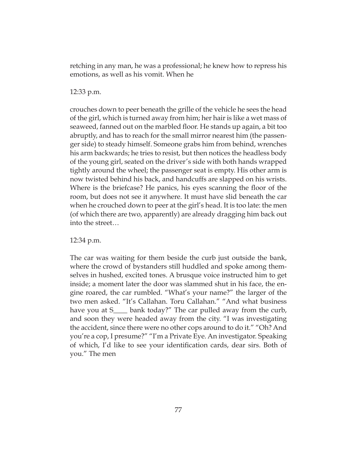retching in any man, he was a professional; he knew how to repress his emotions, as well as his vomit. When he

12:33 p.m.

crouches down to peer beneath the grille of the vehicle he sees the head of the girl, which is turned away from him; her hair is like a wet mass of seaweed, fanned out on the marbled floor. He stands up again, a bit too abruptly, and has to reach for the small mirror nearest him (the passenger side) to steady himself. Someone grabs him from behind, wrenches his arm backwards; he tries to resist, but then notices the headless body of the young girl, seated on the driver's side with both hands wrapped tightly around the wheel; the passenger seat is empty. His other arm is now twisted behind his back, and handcuffs are slapped on his wrists. Where is the briefcase? He panics, his eyes scanning the floor of the room, but does not see it anywhere. It must have slid beneath the car when he crouched down to peer at the girl's head. It is too late: the men (of which there are two, apparently) are already dragging him back out into the street…

12:34 p.m.

The car was waiting for them beside the curb just outside the bank, where the crowd of bystanders still huddled and spoke among themselves in hushed, excited tones. A brusque voice instructed him to get inside; a moment later the door was slammed shut in his face, the engine roared, the car rumbled. "What's your name?" the larger of the two men asked. "It's Callahan. Toru Callahan." "And what business have you at S<sub>\_\_\_\_</sub> bank today?" The car pulled away from the curb, and soon they were headed away from the city. "I was investigating the accident, since there were no other cops around to do it." "Oh? And you're a cop, I presume?" "I'm a Private Eye. An investigator. Speaking of which, I'd like to see your identification cards, dear sirs. Both of you." The men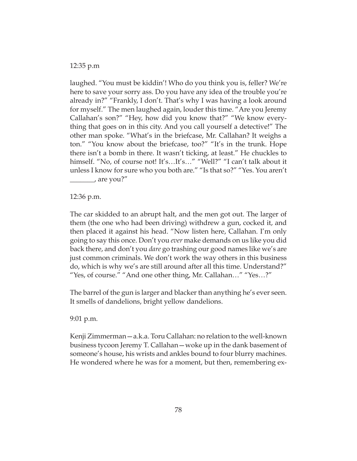#### 12:35 p.m

laughed. "You must be kiddin'! Who do you think you is, feller? We're here to save your sorry ass. Do you have any idea of the trouble you're already in?" "Frankly, I don't. That's why I was having a look around for myself." The men laughed again, louder this time. "Are you Jeremy Callahan's son?" "Hey, how did you know that?" "We know everything that goes on in this city. And you call yourself a detective!" The other man spoke. "What's in the briefcase, Mr. Callahan? It weighs a ton." "You know about the briefcase, too?" "It's in the trunk. Hope there isn't a bomb in there. It wasn't ticking, at least." He chuckles to himself. "No, of course not! It's...It's..." "Well?" "I can't talk about it unless I know for sure who you both are." "Is that so?" "Yes. You aren't \_\_\_\_\_\_\_, are you?"

12:36 p.m.

The car skidded to an abrupt halt, and the men got out. The larger of them (the one who had been driving) withdrew a gun, cocked it, and then placed it against his head. "Now listen here, Callahan. I'm only going to say this once. Don't you *ever* make demands on us like you did back there, and don't you *dare* go trashing our good names like we's are just common criminals. We don't work the way others in this business do, which is why we's are still around after all this time. Understand?" "Yes, of course." "And one other thing, Mr. Callahan…" "Yes…?"

The barrel of the gun is larger and blacker than anything he's ever seen. It smells of dandelions, bright yellow dandelions.

9:01 p.m.

Kenji Zimmerman—a.k.a. Toru Callahan: no relation to the well-known business tycoon Jeremy T. Callahan—woke up in the dank basement of someone's house, his wrists and ankles bound to four blurry machines. He wondered where he was for a moment, but then, remembering ex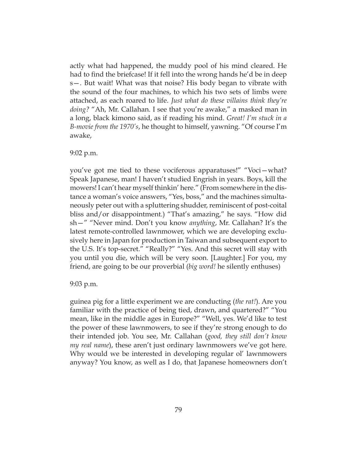actly what had happened, the muddy pool of his mind cleared. He had to find the briefcase! If it fell into the wrong hands he'd be in deep s—. But wait! What was that noise? His body began to vibrate with the sound of the four machines, to which his two sets of limbs were attached, as each roared to life. *Just what do these villains think they're doing?* "Ah, Mr. Callahan. I see that you're awake," a masked man in a long, black kimono said, as if reading his mind. *Great! I'm stuck in a B-movie from the 1970's*, he thought to himself, yawning. "Of course I'm awake,

#### 9:02 p.m.

you've got me tied to these vociferous apparatuses!" "Voci—what? Speak Japanese, man! I haven't studied Engrish in years. Boys, kill the mowers! I can't hear myself thinkin' here." (From somewhere in the distance a woman's voice answers, "Yes, boss," and the machines simultaneously peter out with a spluttering shudder, reminiscent of post-coital bliss and/or disappointment.) "That's amazing," he says. "How did sh—" "Never mind. Don't you know *anything*, Mr. Callahan? It's the latest remote-controlled lawnmower, which we are developing exclusively here in Japan for production in Taiwan and subsequent export to the U.S. It's top-secret." "Really?" "Yes. And this secret will stay with you until you die, which will be very soon. [Laughter.] For you, my friend, are going to be our proverbial (*big word!* he silently enthuses)

#### 9:03 p.m.

guinea pig for a little experiment we are conducting (*the rat!*). Are you familiar with the practice of being tied, drawn, and quartered?" "You mean, like in the middle ages in Europe?" "Well, yes. We'd like to test the power of these lawnmowers, to see if they're strong enough to do their intended job. You see, Mr. Callahan (*good, they still don't know my real name*), these aren't just ordinary lawnmowers we've got here. Why would we be interested in developing regular ol' lawnmowers anyway? You know, as well as I do, that Japanese homeowners don't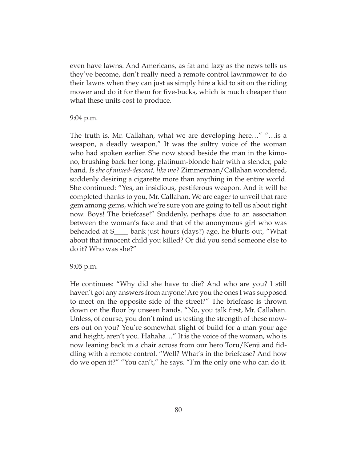even have lawns. And Americans, as fat and lazy as the news tells us they've become, don't really need a remote control lawnmower to do their lawns when they can just as simply hire a kid to sit on the riding mower and do it for them for five-bucks, which is much cheaper than what these units cost to produce.

9:04 p.m.

The truth is, Mr. Callahan, what we are developing here…" "…is a weapon, a deadly weapon." It was the sultry voice of the woman who had spoken earlier. She now stood beside the man in the kimono, brushing back her long, platinum-blonde hair with a slender, pale hand. *Is she of mixed-descent, like me?* Zimmerman/Callahan wondered, suddenly desiring a cigarette more than anything in the entire world. She continued: "Yes, an insidious, pestiferous weapon. And it will be completed thanks to you, Mr. Callahan. We are eager to unveil that rare gem among gems, which we're sure you are going to tell us about right now. Boys! The briefcase!" Suddenly, perhaps due to an association between the woman's face and that of the anonymous girl who was beheaded at S\_\_\_\_ bank just hours (days?) ago, he blurts out, "What about that innocent child you killed? Or did you send someone else to do it? Who was she?"

9:05 p.m.

He continues: "Why did she have to die? And who are you? I still haven't got any answers from anyone! Are you the ones I was supposed to meet on the opposite side of the street?" The briefcase is thrown down on the floor by unseen hands. "No, you talk first, Mr. Callahan. Unless, of course, you don't mind us testing the strength of these mowers out on you? You're somewhat slight of build for a man your age and height, aren't you. Hahaha…" It is the voice of the woman, who is now leaning back in a chair across from our hero Toru/Kenji and fiddling with a remote control. "Well? What's in the briefcase? And how do we open it?" "You can't," he says. "I'm the only one who can do it.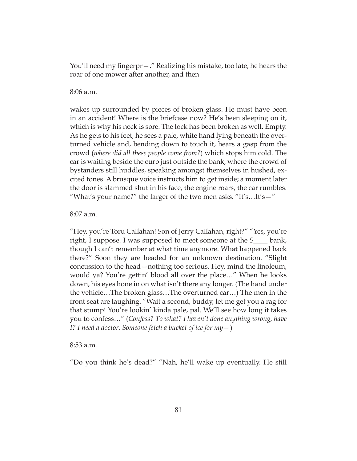You'll need my fingerpr—." Realizing his mistake, too late, he hears the roar of one mower after another, and then

8:06 a.m.

wakes up surrounded by pieces of broken glass. He must have been in an accident! Where is the briefcase now? He's been sleeping on it, which is why his neck is sore. The lock has been broken as well. Empty. As he gets to his feet, he sees a pale, white hand lying beneath the overturned vehicle and, bending down to touch it, hears a gasp from the crowd (*where did all these people come from?*) which stops him cold. The car is waiting beside the curb just outside the bank, where the crowd of bystanders still huddles, speaking amongst themselves in hushed, excited tones. A brusque voice instructs him to get inside; a moment later the door is slammed shut in his face, the engine roars, the car rumbles. "What's your name?" the larger of the two men asks. "It's…It's—"

8:07 a.m.

"Hey, you're Toru Callahan! Son of Jerry Callahan, right?" "Yes, you're right, I suppose. I was supposed to meet someone at the S\_\_\_\_ bank, though I can't remember at what time anymore. What happened back there?" Soon they are headed for an unknown destination. "Slight concussion to the head—nothing too serious. Hey, mind the linoleum, would ya? You're gettin' blood all over the place…" When he looks down, his eyes hone in on what isn't there any longer. (The hand under the vehicle…The broken glass…The overturned car…) The men in the front seat are laughing. "Wait a second, buddy, let me get you a rag for that stump! You're lookin' kinda pale, pal. We'll see how long it takes you to confess…" (*Confess? To what? I haven't done anything wrong, have I? I need a doctor. Someone fetch a bucket of ice for my—*)

### 8:53 a.m.

"Do you think he's dead?" "Nah, he'll wake up eventually. He still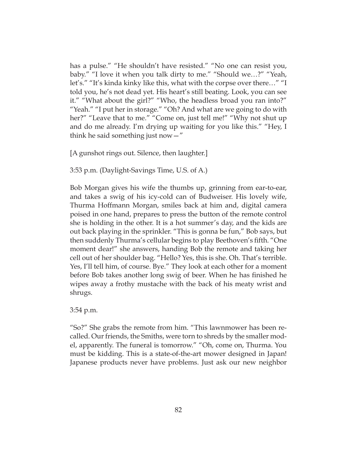has a pulse." "He shouldn't have resisted." "No one can resist you, baby." "I love it when you talk dirty to me." "Should we…?" "Yeah, let's." "It's kinda kinky like this, what with the corpse over there…" "I told you, he's not dead yet. His heart's still beating. Look, you can see it." "What about the girl?" "Who, the headless broad you ran into?" "Yeah." "I put her in storage." "Oh? And what are we going to do with her?" "Leave that to me." "Come on, just tell me!" "Why not shut up and do me already. I'm drying up waiting for you like this." "Hey, I think he said something just now  $-$ "

[A gunshot rings out. Silence, then laughter.]

3:53 p.m. (Daylight-Savings Time, U.S. of A.)

Bob Morgan gives his wife the thumbs up, grinning from ear-to-ear, and takes a swig of his icy-cold can of Budweiser. His lovely wife, Thurma Hoffmann Morgan, smiles back at him and, digital camera poised in one hand, prepares to press the button of the remote control she is holding in the other. It is a hot summer's day, and the kids are out back playing in the sprinkler. "This is gonna be fun," Bob says, but then suddenly Thurma's cellular begins to play Beethoven's fifth. "One moment dear!" she answers, handing Bob the remote and taking her cell out of her shoulder bag. "Hello? Yes, this is she. Oh. That's terrible. Yes, I'll tell him, of course. Bye." They look at each other for a moment before Bob takes another long swig of beer. When he has finished he wipes away a frothy mustache with the back of his meaty wrist and shrugs.

3:54 p.m.

"So?" She grabs the remote from him. "This lawnmower has been recalled. Our friends, the Smiths, were torn to shreds by the smaller model, apparently. The funeral is tomorrow." "Oh, come on, Thurma. You must be kidding. This is a state-of-the-art mower designed in Japan! Japanese products never have problems. Just ask our new neighbor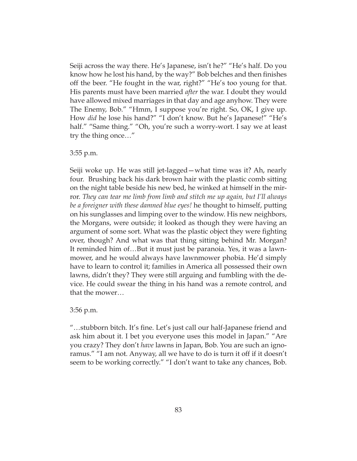Seiji across the way there. He's Japanese, isn't he?" "He's half. Do you know how he lost his hand, by the way?" Bob belches and then finishes off the beer. "He fought in the war, right?" "He's too young for that. His parents must have been married *after* the war. I doubt they would have allowed mixed marriages in that day and age anyhow. They were The Enemy, Bob." "Hmm, I suppose you're right. So, OK, I give up. How *did* he lose his hand?" "I don't know. But he's Japanese!" "He's half." "Same thing." "Oh, you're such a worry-wort. I say we at least try the thing once…"

#### 3:55 p.m.

Seiji woke up. He was still jet-lagged—what time was it? Ah, nearly four. Brushing back his dark brown hair with the plastic comb sitting on the night table beside his new bed, he winked at himself in the mirror. *They can tear me limb from limb and stitch me up again, but I'll always be a foreigner with these damned blue eyes!* he thought to himself, putting on his sunglasses and limping over to the window. His new neighbors, the Morgans, were outside; it looked as though they were having an argument of some sort. What was the plastic object they were fighting over, though? And what was that thing sitting behind Mr. Morgan? It reminded him of…But it must just be paranoia. Yes, it was a lawnmower, and he would always have lawnmower phobia. He'd simply have to learn to control it; families in America all possessed their own lawns, didn't they? They were still arguing and fumbling with the device. He could swear the thing in his hand was a remote control, and that the mower…

3:56 p.m.

"…stubborn bitch. It's fine. Let's just call our half-Japanese friend and ask him about it. I bet you everyone uses this model in Japan." "Are you crazy? They don't *have* lawns in Japan, Bob. You are such an ignoramus." "I am not. Anyway, all we have to do is turn it off if it doesn't seem to be working correctly." "I don't want to take any chances, Bob.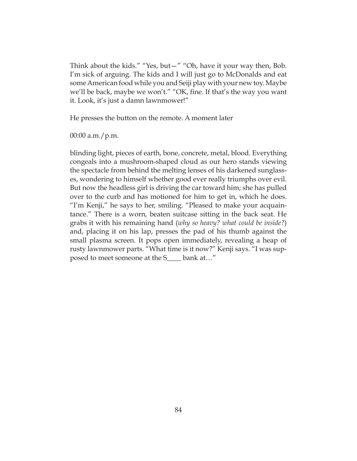Think about the kids." "Yes, but—" "Oh, have it your way then, Bob. I'm sick of arguing. The kids and I will just go to McDonalds and eat some American food while you and Seiji play with your new toy. Maybe we'll be back, maybe we won't." "OK, fine. If that's the way you want it. Look, it's just a damn lawnmower!"

He presses the button on the remote. A moment later

00:00 a.m./p.m.

blinding light, pieces of earth, bone, concrete, metal, blood. Everything congeals into a mushroom-shaped cloud as our hero stands viewing the spectacle from behind the melting lenses of his darkened sunglasses, wondering to himself whether good ever really triumphs over evil. But now the headless girl is driving the car toward him; she has pulled over to the curb and has motioned for him to get in, which he does. "I'm Kenji," he says to her, smiling. "Pleased to make your acquaintance." There is a worn, beaten suitcase sitting in the back seat. He grabs it with his remaining hand (*why so heavy? what could be inside?*) and, placing it on his lap, presses the pad of his thumb against the small plasma screen. It pops open immediately, revealing a heap of rusty lawnmower parts. "What time is it now?" Kenji says. "I was supposed to meet someone at the S\_\_\_\_ bank at…"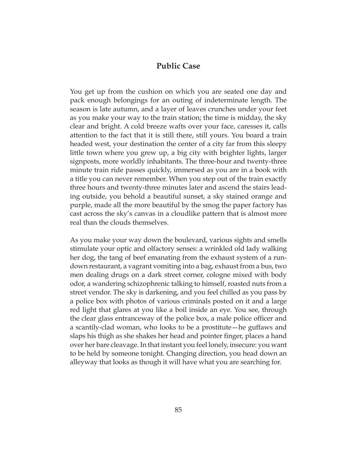## **Public Case**

You get up from the cushion on which you are seated one day and pack enough belongings for an outing of indeterminate length. The season is late autumn, and a layer of leaves crunches under your feet as you make your way to the train station; the time is midday, the sky clear and bright. A cold breeze wafts over your face, caresses it, calls attention to the fact that it is still there, still yours. You board a train headed west, your destination the center of a city far from this sleepy little town where you grew up, a big city with brighter lights, larger signposts, more worldly inhabitants. The three-hour and twenty-three minute train ride passes quickly, immersed as you are in a book with a title you can never remember. When you step out of the train exactly three hours and twenty-three minutes later and ascend the stairs leading outside, you behold a beautiful sunset, a sky stained orange and purple, made all the more beautiful by the smog the paper factory has cast across the sky's canvas in a cloudlike pattern that is almost more real than the clouds themselves.

As you make your way down the boulevard, various sights and smells stimulate your optic and olfactory senses: a wrinkled old lady walking her dog, the tang of beef emanating from the exhaust system of a rundown restaurant, a vagrant vomiting into a bag, exhaust from a bus, two men dealing drugs on a dark street corner, cologne mixed with body odor, a wandering schizophrenic talking to himself, roasted nuts from a street vendor. The sky is darkening, and you feel chilled as you pass by a police box with photos of various criminals posted on it and a large red light that glares at you like a boil inside an eye. You see, through the clear glass entranceway of the police box, a male police officer and a scantily-clad woman, who looks to be a prostitute—he guffaws and slaps his thigh as she shakes her head and pointer finger, places a hand over her bare cleavage. In that instant you feel lonely, insecure: you want to be held by someone tonight. Changing direction, you head down an alleyway that looks as though it will have what you are searching for.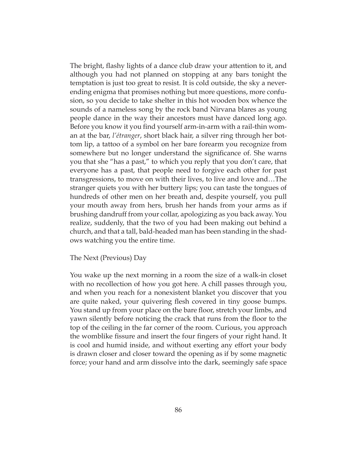The bright, flashy lights of a dance club draw your attention to it, and although you had not planned on stopping at any bars tonight the temptation is just too great to resist. It is cold outside, the sky a neverending enigma that promises nothing but more questions, more confusion, so you decide to take shelter in this hot wooden box whence the sounds of a nameless song by the rock band Nirvana blares as young people dance in the way their ancestors must have danced long ago. Before you know it you find yourself arm-in-arm with a rail-thin woman at the bar, *l'étranger*, short black hair, a silver ring through her bottom lip, a tattoo of a symbol on her bare forearm you recognize from somewhere but no longer understand the significance of. She warns you that she "has a past," to which you reply that you don't care, that everyone has a past, that people need to forgive each other for past transgressions, to move on with their lives, to live and love and…The stranger quiets you with her buttery lips; you can taste the tongues of hundreds of other men on her breath and, despite yourself, you pull your mouth away from hers, brush her hands from your arms as if brushing dandruff from your collar, apologizing as you back away. You realize, suddenly, that the two of you had been making out behind a church, and that a tall, bald-headed man has been standing in the shadows watching you the entire time.

#### The Next (Previous) Day

You wake up the next morning in a room the size of a walk-in closet with no recollection of how you got here. A chill passes through you, and when you reach for a nonexistent blanket you discover that you are quite naked, your quivering flesh covered in tiny goose bumps. You stand up from your place on the bare floor, stretch your limbs, and yawn silently before noticing the crack that runs from the floor to the top of the ceiling in the far corner of the room. Curious, you approach the womblike fissure and insert the four fingers of your right hand. It is cool and humid inside, and without exerting any effort your body is drawn closer and closer toward the opening as if by some magnetic force; your hand and arm dissolve into the dark, seemingly safe space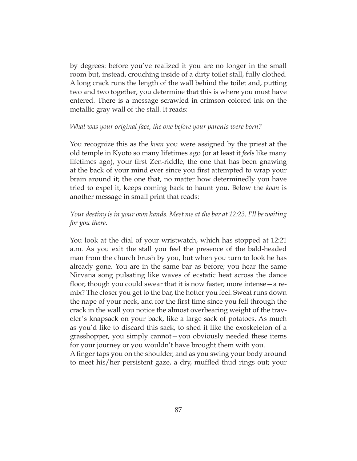by degrees: before you've realized it you are no longer in the small room but, instead, crouching inside of a dirty toilet stall, fully clothed. A long crack runs the length of the wall behind the toilet and, putting two and two together, you determine that this is where you must have entered. There is a message scrawled in crimson colored ink on the metallic gray wall of the stall. It reads:

#### *What was your original face, the one before your parents were born?*

You recognize this as the *koan* you were assigned by the priest at the old temple in Kyoto so many lifetimes ago (or at least it *feels* like many lifetimes ago), your first Zen-riddle, the one that has been gnawing at the back of your mind ever since you first attempted to wrap your brain around it; the one that, no matter how determinedly you have tried to expel it, keeps coming back to haunt you. Below the *koan* is another message in small print that reads:

## *Your destiny is in your own hands. Meet me at the bar at 12:23. I'll be waiting for you there.*

You look at the dial of your wristwatch, which has stopped at 12:21 a.m. As you exit the stall you feel the presence of the bald-headed man from the church brush by you, but when you turn to look he has already gone. You are in the same bar as before; you hear the same Nirvana song pulsating like waves of ecstatic heat across the dance floor, though you could swear that it is now faster, more intense—a remix? The closer you get to the bar, the hotter you feel. Sweat runs down the nape of your neck, and for the first time since you fell through the crack in the wall you notice the almost overbearing weight of the traveler's knapsack on your back, like a large sack of potatoes. As much as you'd like to discard this sack, to shed it like the exoskeleton of a grasshopper, you simply cannot—you obviously needed these items for your journey or you wouldn't have brought them with you.

A finger taps you on the shoulder, and as you swing your body around to meet his/her persistent gaze, a dry, muffled thud rings out; your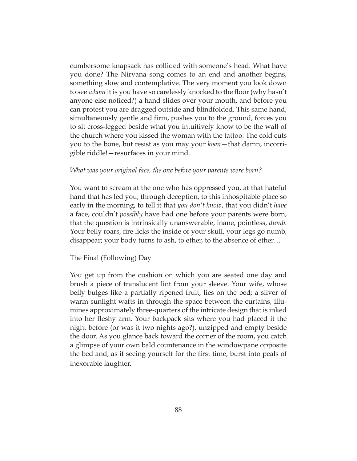cumbersome knapsack has collided with someone's head. What have you done? The Nirvana song comes to an end and another begins, something slow and contemplative. The very moment you look down to see *whom* it is you have so carelessly knocked to the floor (why hasn't anyone else noticed?) a hand slides over your mouth, and before you can protest you are dragged outside and blindfolded. This same hand, simultaneously gentle and firm, pushes you to the ground, forces you to sit cross-legged beside what you intuitively know to be the wall of the church where you kissed the woman with the tattoo. The cold cuts you to the bone, but resist as you may your *koan*—that damn, incorrigible riddle!—resurfaces in your mind.

#### *What was your original face, the one before your parents were born?*

You want to scream at the one who has oppressed you, at that hateful hand that has led you, through deception, to this inhospitable place so early in the morning, to tell it that *you don't know*, that you didn't *have* a face, couldn't *possibly* have had one before your parents were born, that the question is intrinsically unanswerable, inane, pointless, *dumb*. Your belly roars, fire licks the inside of your skull, your legs go numb, disappear; your body turns to ash, to ether, to the absence of ether…

### The Final (Following) Day

You get up from the cushion on which you are seated one day and brush a piece of translucent lint from your sleeve. Your wife, whose belly bulges like a partially ripened fruit, lies on the bed; a sliver of warm sunlight wafts in through the space between the curtains, illumines approximately three-quarters of the intricate design that is inked into her fleshy arm. Your backpack sits where you had placed it the night before (or was it two nights ago?), unzipped and empty beside the door. As you glance back toward the corner of the room, you catch a glimpse of your own bald countenance in the windowpane opposite the bed and, as if seeing yourself for the first time, burst into peals of inexorable laughter.